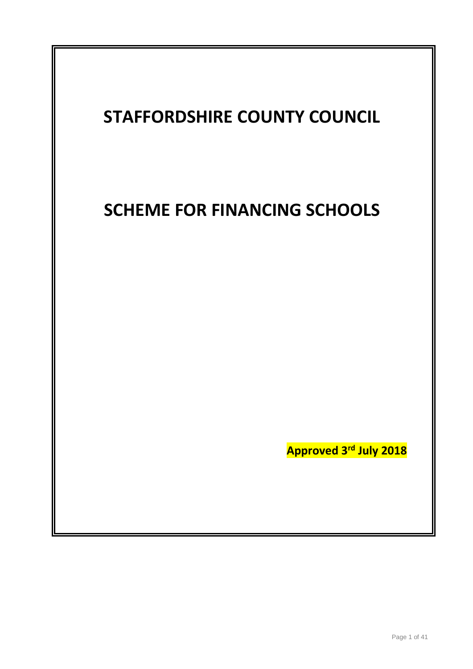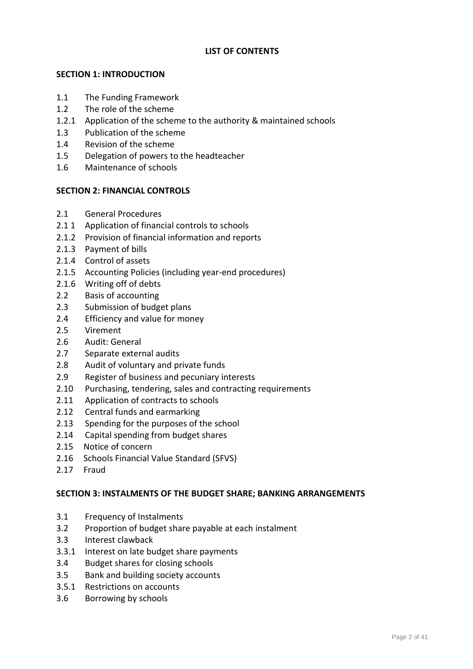## **LIST OF CONTENTS**

## **SECTION 1: INTRODUCTION**

- 1.1 The Funding Framework
- 1.2 The role of the scheme
- 1.2.1 Application of the scheme to the authority & maintained schools
- 1.3 Publication of the scheme
- 1.4 Revision of the scheme
- 1.5 Delegation of powers to the headteacher
- 1.6 Maintenance of schools

## **SECTION 2: FINANCIAL CONTROLS**

- 2.1 General Procedures
- 2.1 1 Application of financial controls to schools
- 2.1.2 Provision of financial information and reports
- 2.1.3 Payment of bills
- 2.1.4 Control of assets
- 2.1.5 Accounting Policies (including year-end procedures)
- 2.1.6 Writing off of debts
- 2.2 Basis of accounting
- 2.3 Submission of budget plans
- 2.4 Efficiency and value for money
- 2.5 Virement
- 2.6 Audit: General
- 2.7 Separate external audits
- 2.8 Audit of voluntary and private funds
- 2.9 Register of business and pecuniary interests
- 2.10 Purchasing, tendering, sales and contracting requirements
- 2.11 Application of contracts to schools
- 2.12 Central funds and earmarking
- 2.13 Spending for the purposes of the school
- 2.14 Capital spending from budget shares
- 2.15 Notice of concern
- 2.16 Schools Financial Value Standard (SFVS)
- 2.17 Fraud

### **SECTION 3: INSTALMENTS OF THE BUDGET SHARE; BANKING ARRANGEMENTS**

- 3.1 Frequency of Instalments
- 3.2 Proportion of budget share payable at each instalment
- 3.3 Interest clawback
- 3.3.1 Interest on late budget share payments
- 3.4 Budget shares for closing schools
- 3.5 Bank and building society accounts
- 3.5.1 Restrictions on accounts
- 3.6 Borrowing by schools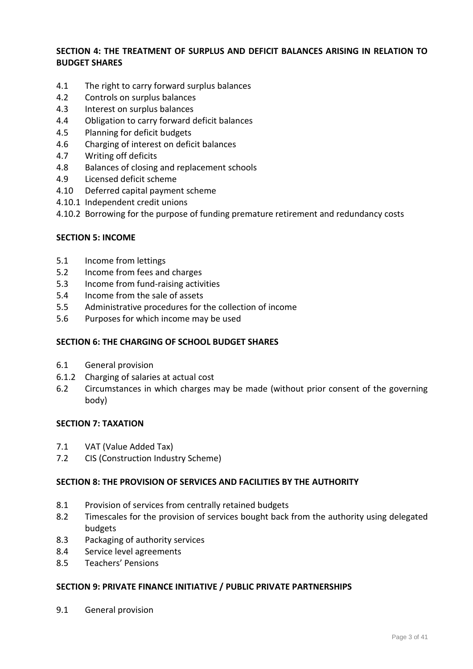## **SECTION 4: THE TREATMENT OF SURPLUS AND DEFICIT BALANCES ARISING IN RELATION TO BUDGET SHARES**

- 4.1 The right to carry forward surplus balances
- 4.2 Controls on surplus balances
- 4.3 Interest on surplus balances
- 4.4 Obligation to carry forward deficit balances
- 4.5 Planning for deficit budgets
- 4.6 Charging of interest on deficit balances
- 4.7 Writing off deficits
- 4.8 Balances of closing and replacement schools
- 4.9 Licensed deficit scheme
- 4.10 Deferred capital payment scheme
- 4.10.1 Independent credit unions
- 4.10.2 Borrowing for the purpose of funding premature retirement and redundancy costs

### **SECTION 5: INCOME**

- 5.1 Income from lettings
- 5.2 Income from fees and charges
- 5.3 Income from fund-raising activities
- 5.4 Income from the sale of assets
- 5.5 Administrative procedures for the collection of income
- 5.6 Purposes for which income may be used

### **SECTION 6: THE CHARGING OF SCHOOL BUDGET SHARES**

- 6.1 General provision
- 6.1.2 Charging of salaries at actual cost
- 6.2 Circumstances in which charges may be made (without prior consent of the governing body)

### **SECTION 7: TAXATION**

- 7.1 VAT (Value Added Tax)
- 7.2 CIS (Construction Industry Scheme)

### **SECTION 8: THE PROVISION OF SERVICES AND FACILITIES BY THE AUTHORITY**

- 8.1 Provision of services from centrally retained budgets
- 8.2 Timescales for the provision of services bought back from the authority using delegated budgets
- 8.3 Packaging of authority services
- 8.4 Service level agreements
- 8.5 Teachers' Pensions

#### **SECTION 9: PRIVATE FINANCE INITIATIVE / PUBLIC PRIVATE PARTNERSHIPS**

9.1 General provision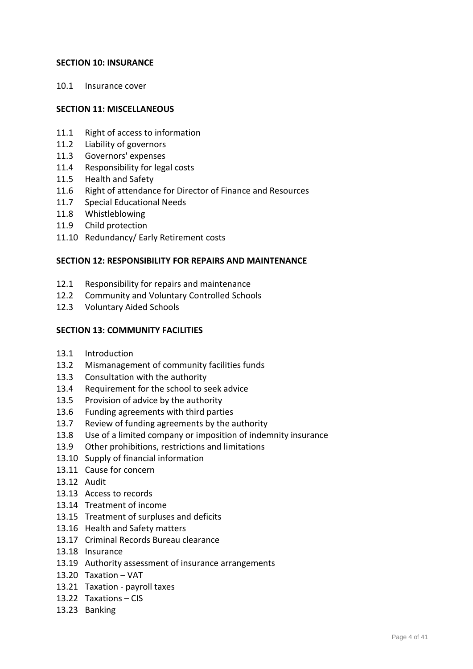### **SECTION 10: INSURANCE**

10.1 Insurance cover

#### **SECTION 11: MISCELLANEOUS**

- 11.1 Right of access to information
- 11.2 Liability of governors
- 11.3 Governors' expenses
- 11.4 Responsibility for legal costs
- 11.5 Health and Safety
- 11.6 Right of attendance for Director of Finance and Resources
- 11.7 Special Educational Needs
- 11.8 Whistleblowing
- 11.9 Child protection
- 11.10 Redundancy/ Early Retirement costs

#### **SECTION 12: RESPONSIBILITY FOR REPAIRS AND MAINTENANCE**

- 12.1 Responsibility for repairs and maintenance
- 12.2 Community and Voluntary Controlled Schools
- 12.3 Voluntary Aided Schools

#### **SECTION 13: COMMUNITY FACILITIES**

- 13.1 Introduction
- 13.2 Mismanagement of community facilities funds
- 13.3 Consultation with the authority
- 13.4 Requirement for the school to seek advice
- 13.5 Provision of advice by the authority
- 13.6 Funding agreements with third parties
- 13.7 Review of funding agreements by the authority
- 13.8 Use of a limited company or imposition of indemnity insurance
- 13.9 Other prohibitions, restrictions and limitations
- 13.10 Supply of financial information
- 13.11 Cause for concern
- 13.12 Audit
- 13.13 Access to records
- 13.14 Treatment of income
- 13.15 Treatment of surpluses and deficits
- 13.16 Health and Safety matters
- 13.17 Criminal Records Bureau clearance
- 13.18 Insurance
- 13.19 Authority assessment of insurance arrangements
- 13.20 Taxation VAT
- 13.21 Taxation payroll taxes
- 13.22 Taxations CIS
- 13.23 Banking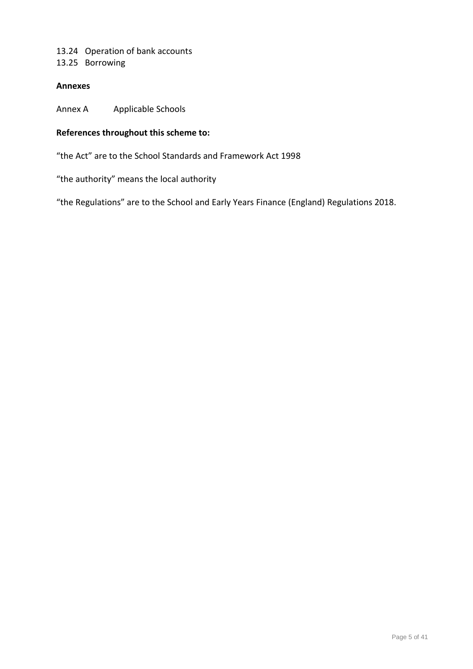# 13.24 Operation of bank accounts

13.25 Borrowing

## **Annexes**

Annex A Applicable Schools

# **References throughout this scheme to:**

"the Act" are to the School Standards and Framework Act 1998

"the authority" means the local authority

"the Regulations" are to the School and Early Years Finance (England) Regulations 2018.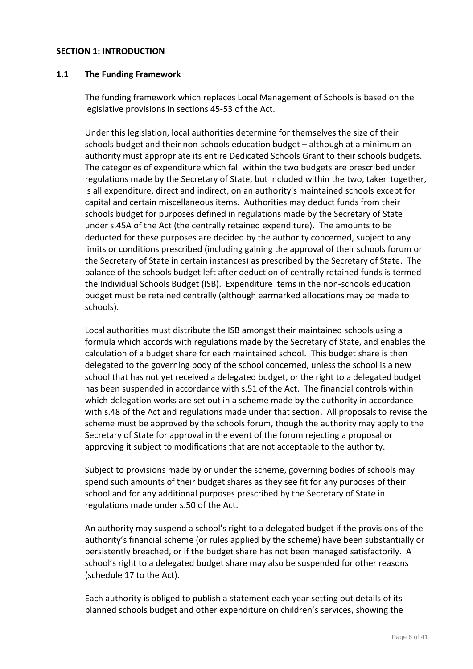#### **SECTION 1: INTRODUCTION**

#### **1.1 The Funding Framework**

The funding framework which replaces Local Management of Schools is based on the legislative provisions in sections 45-53 of the Act.

Under this legislation, local authorities determine for themselves the size of their schools budget and their non-schools education budget – although at a minimum an authority must appropriate its entire Dedicated Schools Grant to their schools budgets. The categories of expenditure which fall within the two budgets are prescribed under regulations made by the Secretary of State, but included within the two, taken together, is all expenditure, direct and indirect, on an authority's maintained schools except for capital and certain miscellaneous items. Authorities may deduct funds from their schools budget for purposes defined in regulations made by the Secretary of State under s.45A of the Act (the centrally retained expenditure). The amounts to be deducted for these purposes are decided by the authority concerned, subject to any limits or conditions prescribed (including gaining the approval of their schools forum or the Secretary of State in certain instances) as prescribed by the Secretary of State. The balance of the schools budget left after deduction of centrally retained funds is termed the Individual Schools Budget (ISB). Expenditure items in the non-schools education budget must be retained centrally (although earmarked allocations may be made to schools).

Local authorities must distribute the ISB amongst their maintained schools using a formula which accords with regulations made by the Secretary of State, and enables the calculation of a budget share for each maintained school. This budget share is then delegated to the governing body of the school concerned, unless the school is a new school that has not yet received a delegated budget, or the right to a delegated budget has been suspended in accordance with s.51 of the Act. The financial controls within which delegation works are set out in a scheme made by the authority in accordance with s.48 of the Act and regulations made under that section. All proposals to revise the scheme must be approved by the schools forum, though the authority may apply to the Secretary of State for approval in the event of the forum rejecting a proposal or approving it subject to modifications that are not acceptable to the authority.

Subject to provisions made by or under the scheme, governing bodies of schools may spend such amounts of their budget shares as they see fit for any purposes of their school and for any additional purposes prescribed by the Secretary of State in regulations made under s.50 of the Act.

An authority may suspend a school's right to a delegated budget if the provisions of the authority's financial scheme (or rules applied by the scheme) have been substantially or persistently breached, or if the budget share has not been managed satisfactorily. A school's right to a delegated budget share may also be suspended for other reasons (schedule 17 to the Act).

Each authority is obliged to publish a statement each year setting out details of its planned schools budget and other expenditure on children's services, showing the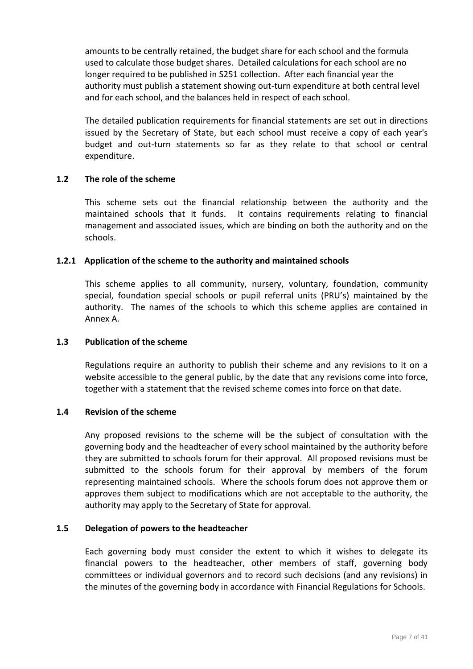amounts to be centrally retained, the budget share for each school and the formula used to calculate those budget shares. Detailed calculations for each school are no longer required to be published in S251 collection. After each financial year the authority must publish a statement showing out-turn expenditure at both central level and for each school, and the balances held in respect of each school.

The detailed publication requirements for financial statements are set out in directions issued by the Secretary of State, but each school must receive a copy of each year's budget and out-turn statements so far as they relate to that school or central expenditure.

## **1.2 The role of the scheme**

This scheme sets out the financial relationship between the authority and the maintained schools that it funds. It contains requirements relating to financial management and associated issues, which are binding on both the authority and on the schools.

#### **1.2.1 Application of the scheme to the authority and maintained schools**

This scheme applies to all community, nursery, voluntary, foundation, community special, foundation special schools or pupil referral units (PRU's) maintained by the authority. The names of the schools to which this scheme applies are contained in Annex A.

#### **1.3 Publication of the scheme**

Regulations require an authority to publish their scheme and any revisions to it on a website accessible to the general public, by the date that any revisions come into force, together with a statement that the revised scheme comes into force on that date.

#### **1.4 Revision of the scheme**

Any proposed revisions to the scheme will be the subject of consultation with the governing body and the headteacher of every school maintained by the authority before they are submitted to schools forum for their approval. All proposed revisions must be submitted to the schools forum for their approval by members of the forum representing maintained schools. Where the schools forum does not approve them or approves them subject to modifications which are not acceptable to the authority, the authority may apply to the Secretary of State for approval.

#### **1.5 Delegation of powers to the headteacher**

Each governing body must consider the extent to which it wishes to delegate its financial powers to the headteacher, other members of staff, governing body committees or individual governors and to record such decisions (and any revisions) in the minutes of the governing body in accordance with Financial Regulations for Schools.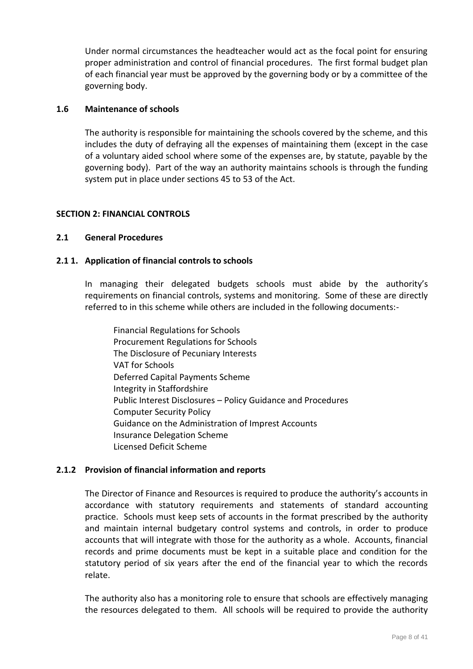Under normal circumstances the headteacher would act as the focal point for ensuring proper administration and control of financial procedures. The first formal budget plan of each financial year must be approved by the governing body or by a committee of the governing body.

## **1.6 Maintenance of schools**

The authority is responsible for maintaining the schools covered by the scheme, and this includes the duty of defraying all the expenses of maintaining them (except in the case of a voluntary aided school where some of the expenses are, by statute, payable by the governing body). Part of the way an authority maintains schools is through the funding system put in place under sections 45 to 53 of the Act.

## **SECTION 2: FINANCIAL CONTROLS**

## **2.1 General Procedures**

## **2.1 1. Application of financial controls to schools**

In managing their delegated budgets schools must abide by the authority's requirements on financial controls, systems and monitoring. Some of these are directly referred to in this scheme while others are included in the following documents:-

Financial Regulations for Schools Procurement Regulations for Schools The Disclosure of Pecuniary Interests VAT for Schools Deferred Capital Payments Scheme Integrity in Staffordshire Public Interest Disclosures – Policy Guidance and Procedures Computer Security Policy Guidance on the Administration of Imprest Accounts Insurance Delegation Scheme Licensed Deficit Scheme

### **2.1.2 Provision of financial information and reports**

The Director of Finance and Resources is required to produce the authority's accounts in accordance with statutory requirements and statements of standard accounting practice. Schools must keep sets of accounts in the format prescribed by the authority and maintain internal budgetary control systems and controls, in order to produce accounts that will integrate with those for the authority as a whole. Accounts, financial records and prime documents must be kept in a suitable place and condition for the statutory period of six years after the end of the financial year to which the records relate.

The authority also has a monitoring role to ensure that schools are effectively managing the resources delegated to them. All schools will be required to provide the authority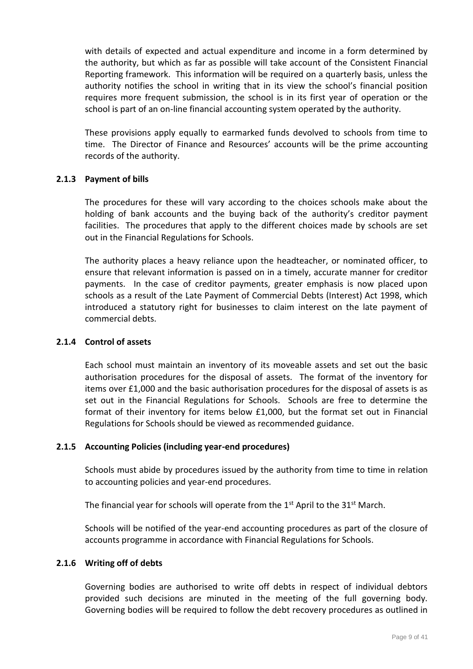with details of expected and actual expenditure and income in a form determined by the authority, but which as far as possible will take account of the Consistent Financial Reporting framework. This information will be required on a quarterly basis, unless the authority notifies the school in writing that in its view the school's financial position requires more frequent submission, the school is in its first year of operation or the school is part of an on-line financial accounting system operated by the authority.

These provisions apply equally to earmarked funds devolved to schools from time to time. The Director of Finance and Resources' accounts will be the prime accounting records of the authority.

### **2.1.3 Payment of bills**

The procedures for these will vary according to the choices schools make about the holding of bank accounts and the buying back of the authority's creditor payment facilities. The procedures that apply to the different choices made by schools are set out in the Financial Regulations for Schools.

The authority places a heavy reliance upon the headteacher, or nominated officer, to ensure that relevant information is passed on in a timely, accurate manner for creditor payments. In the case of creditor payments, greater emphasis is now placed upon schools as a result of the Late Payment of Commercial Debts (Interest) Act 1998, which introduced a statutory right for businesses to claim interest on the late payment of commercial debts.

### **2.1.4 Control of assets**

Each school must maintain an inventory of its moveable assets and set out the basic authorisation procedures for the disposal of assets. The format of the inventory for items over £1,000 and the basic authorisation procedures for the disposal of assets is as set out in the Financial Regulations for Schools. Schools are free to determine the format of their inventory for items below £1,000, but the format set out in Financial Regulations for Schools should be viewed as recommended guidance.

### **2.1.5 Accounting Policies (including year-end procedures)**

Schools must abide by procedures issued by the authority from time to time in relation to accounting policies and year-end procedures.

The financial year for schools will operate from the  $1<sup>st</sup>$  April to the  $31<sup>st</sup>$  March.

Schools will be notified of the year-end accounting procedures as part of the closure of accounts programme in accordance with Financial Regulations for Schools.

### **2.1.6 Writing off of debts**

Governing bodies are authorised to write off debts in respect of individual debtors provided such decisions are minuted in the meeting of the full governing body. Governing bodies will be required to follow the debt recovery procedures as outlined in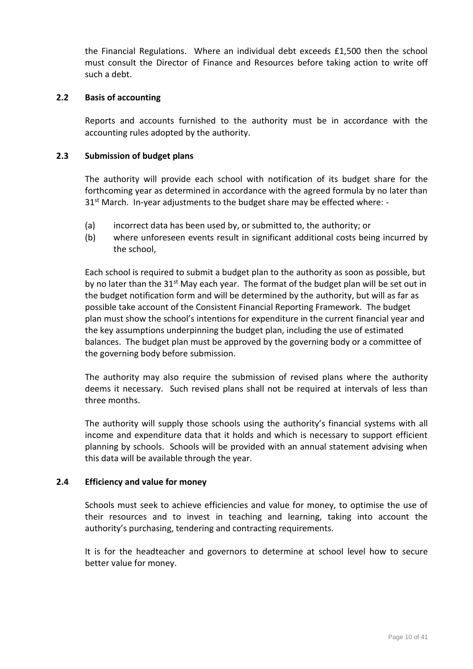the Financial Regulations. Where an individual debt exceeds £1,500 then the school must consult the Director of Finance and Resources before taking action to write off such a debt.

#### **2.2 Basis of accounting**

Reports and accounts furnished to the authority must be in accordance with the accounting rules adopted by the authority.

#### **2.3 Submission of budget plans**

The authority will provide each school with notification of its budget share for the forthcoming year as determined in accordance with the agreed formula by no later than  $31<sup>st</sup>$  March. In-year adjustments to the budget share may be effected where: -

- (a) incorrect data has been used by, or submitted to, the authority; or
- (b) where unforeseen events result in significant additional costs being incurred by the school,

Each school is required to submit a budget plan to the authority as soon as possible, but by no later than the 31<sup>st</sup> May each year. The format of the budget plan will be set out in the budget notification form and will be determined by the authority, but will as far as possible take account of the Consistent Financial Reporting Framework. The budget plan must show the school's intentions for expenditure in the current financial year and the key assumptions underpinning the budget plan, including the use of estimated balances. The budget plan must be approved by the governing body or a committee of the governing body before submission.

The authority may also require the submission of revised plans where the authority deems it necessary. Such revised plans shall not be required at intervals of less than three months.

The authority will supply those schools using the authority's financial systems with all income and expenditure data that it holds and which is necessary to support efficient planning by schools. Schools will be provided with an annual statement advising when this data will be available through the year.

### **2.4 Efficiency and value for money**

Schools must seek to achieve efficiencies and value for money, to optimise the use of their resources and to invest in teaching and learning, taking into account the authority's purchasing, tendering and contracting requirements.

It is for the headteacher and governors to determine at school level how to secure better value for money.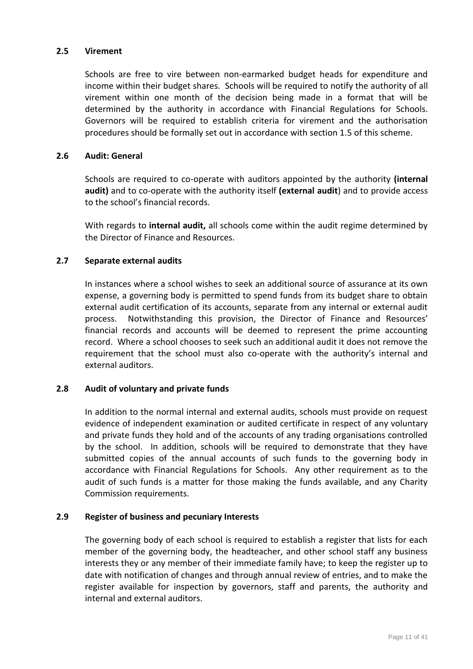### **2.5 Virement**

Schools are free to vire between non-earmarked budget heads for expenditure and income within their budget shares. Schools will be required to notify the authority of all virement within one month of the decision being made in a format that will be determined by the authority in accordance with Financial Regulations for Schools. Governors will be required to establish criteria for virement and the authorisation procedures should be formally set out in accordance with section 1.5 of this scheme.

#### **2.6 Audit: General**

Schools are required to co-operate with auditors appointed by the authority **(internal audit)** and to co-operate with the authority itself **(external audit**) and to provide access to the school's financial records.

With regards to **internal audit,** all schools come within the audit regime determined by the Director of Finance and Resources.

### **2.7 Separate external audits**

In instances where a school wishes to seek an additional source of assurance at its own expense, a governing body is permitted to spend funds from its budget share to obtain external audit certification of its accounts, separate from any internal or external audit process. Notwithstanding this provision, the Director of Finance and Resources' financial records and accounts will be deemed to represent the prime accounting record. Where a school chooses to seek such an additional audit it does not remove the requirement that the school must also co-operate with the authority's internal and external auditors.

### **2.8 Audit of voluntary and private funds**

In addition to the normal internal and external audits, schools must provide on request evidence of independent examination or audited certificate in respect of any voluntary and private funds they hold and of the accounts of any trading organisations controlled by the school. In addition, schools will be required to demonstrate that they have submitted copies of the annual accounts of such funds to the governing body in accordance with Financial Regulations for Schools. Any other requirement as to the audit of such funds is a matter for those making the funds available, and any Charity Commission requirements.

#### **2.9 Register of business and pecuniary Interests**

The governing body of each school is required to establish a register that lists for each member of the governing body, the headteacher, and other school staff any business interests they or any member of their immediate family have; to keep the register up to date with notification of changes and through annual review of entries, and to make the register available for inspection by governors, staff and parents, the authority and internal and external auditors.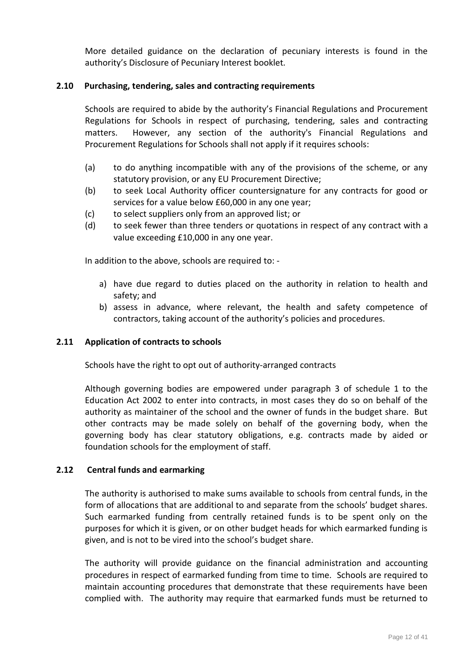More detailed guidance on the declaration of pecuniary interests is found in the authority's Disclosure of Pecuniary Interest booklet*.*

### **2.10 Purchasing, tendering, sales and contracting requirements**

Schools are required to abide by the authority's Financial Regulations and Procurement Regulations for Schools in respect of purchasing, tendering, sales and contracting matters. However, any section of the authority's Financial Regulations and Procurement Regulations for Schools shall not apply if it requires schools:

- (a) to do anything incompatible with any of the provisions of the scheme, or any statutory provision, or any EU Procurement Directive;
- (b) to seek Local Authority officer countersignature for any contracts for good or services for a value below £60,000 in any one year;
- (c) to select suppliers only from an approved list; or
- (d) to seek fewer than three tenders or quotations in respect of any contract with a value exceeding £10,000 in any one year.

In addition to the above, schools are required to: -

- a) have due regard to duties placed on the authority in relation to health and safety; and
- b) assess in advance, where relevant, the health and safety competence of contractors, taking account of the authority's policies and procedures.

### **2.11 Application of contracts to schools**

Schools have the right to opt out of authority-arranged contracts

Although governing bodies are empowered under paragraph 3 of schedule 1 to the Education Act 2002 to enter into contracts, in most cases they do so on behalf of the authority as maintainer of the school and the owner of funds in the budget share. But other contracts may be made solely on behalf of the governing body, when the governing body has clear statutory obligations, e.g. contracts made by aided or foundation schools for the employment of staff.

#### **2.12 Central funds and earmarking**

The authority is authorised to make sums available to schools from central funds, in the form of allocations that are additional to and separate from the schools' budget shares. Such earmarked funding from centrally retained funds is to be spent only on the purposes for which it is given, or on other budget heads for which earmarked funding is given, and is not to be vired into the school's budget share.

The authority will provide guidance on the financial administration and accounting procedures in respect of earmarked funding from time to time*.* Schools are required to maintain accounting procedures that demonstrate that these requirements have been complied with. The authority may require that earmarked funds must be returned to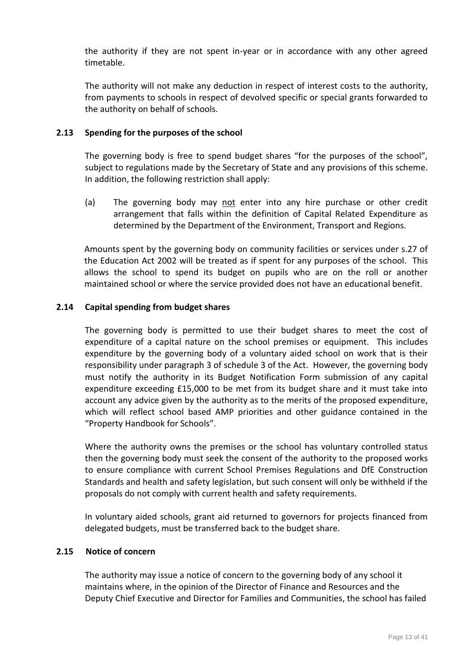the authority if they are not spent in-year or in accordance with any other agreed timetable.

The authority will not make any deduction in respect of interest costs to the authority, from payments to schools in respect of devolved specific or special grants forwarded to the authority on behalf of schools.

### **2.13 Spending for the purposes of the school**

The governing body is free to spend budget shares "for the purposes of the school", subject to regulations made by the Secretary of State and any provisions of this scheme. In addition, the following restriction shall apply:

(a) The governing body may not enter into any hire purchase or other credit arrangement that falls within the definition of Capital Related Expenditure as determined by the Department of the Environment, Transport and Regions.

Amounts spent by the governing body on community facilities or services under s.27 of the Education Act 2002 will be treated as if spent for any purposes of the school. This allows the school to spend its budget on pupils who are on the roll or another maintained school or where the service provided does not have an educational benefit.

#### **2.14 Capital spending from budget shares**

The governing body is permitted to use their budget shares to meet the cost of expenditure of a capital nature on the school premises or equipment. This includes expenditure by the governing body of a voluntary aided school on work that is their responsibility under paragraph 3 of schedule 3 of the Act. However, the governing body must notify the authority in its Budget Notification Form submission of any capital expenditure exceeding £15,000 to be met from its budget share and it must take into account any advice given by the authority as to the merits of the proposed expenditure, which will reflect school based AMP priorities and other guidance contained in the "Property Handbook for Schools".

Where the authority owns the premises or the school has voluntary controlled status then the governing body must seek the consent of the authority to the proposed works to ensure compliance with current School Premises Regulations and DfE Construction Standards and health and safety legislation, but such consent will only be withheld if the proposals do not comply with current health and safety requirements.

In voluntary aided schools, grant aid returned to governors for projects financed from delegated budgets, must be transferred back to the budget share.

#### **2.15 Notice of concern**

The authority may issue a notice of concern to the governing body of any school it maintains where, in the opinion of the Director of Finance and Resources and the Deputy Chief Executive and Director for Families and Communities, the school has failed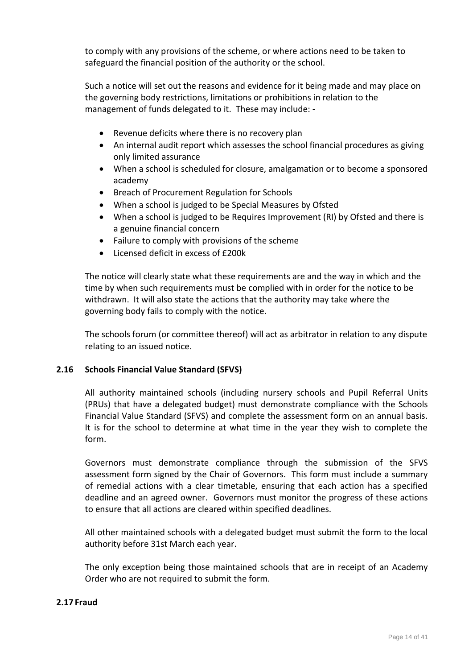to comply with any provisions of the scheme, or where actions need to be taken to safeguard the financial position of the authority or the school.

Such a notice will set out the reasons and evidence for it being made and may place on the governing body restrictions, limitations or prohibitions in relation to the management of funds delegated to it. These may include: -

- Revenue deficits where there is no recovery plan
- An internal audit report which assesses the school financial procedures as giving only limited assurance
- When a school is scheduled for closure, amalgamation or to become a sponsored academy
- Breach of Procurement Regulation for Schools
- When a school is judged to be Special Measures by Ofsted
- When a school is judged to be Requires Improvement (RI) by Ofsted and there is a genuine financial concern
- Failure to comply with provisions of the scheme
- Licensed deficit in excess of £200k

The notice will clearly state what these requirements are and the way in which and the time by when such requirements must be complied with in order for the notice to be withdrawn. It will also state the actions that the authority may take where the governing body fails to comply with the notice.

The schools forum (or committee thereof) will act as arbitrator in relation to any dispute relating to an issued notice.

### **2.16 Schools Financial Value Standard (SFVS)**

All authority maintained schools (including nursery schools and Pupil Referral Units (PRUs) that have a delegated budget) must demonstrate compliance with the Schools Financial Value Standard (SFVS) and complete the assessment form on an annual basis. It is for the school to determine at what time in the year they wish to complete the form.

Governors must demonstrate compliance through the submission of the SFVS assessment form signed by the Chair of Governors. This form must include a summary of remedial actions with a clear timetable, ensuring that each action has a specified deadline and an agreed owner. Governors must monitor the progress of these actions to ensure that all actions are cleared within specified deadlines.

All other maintained schools with a delegated budget must submit the form to the local authority before 31st March each year.

The only exception being those maintained schools that are in receipt of an Academy Order who are not required to submit the form.

### **2.17 Fraud**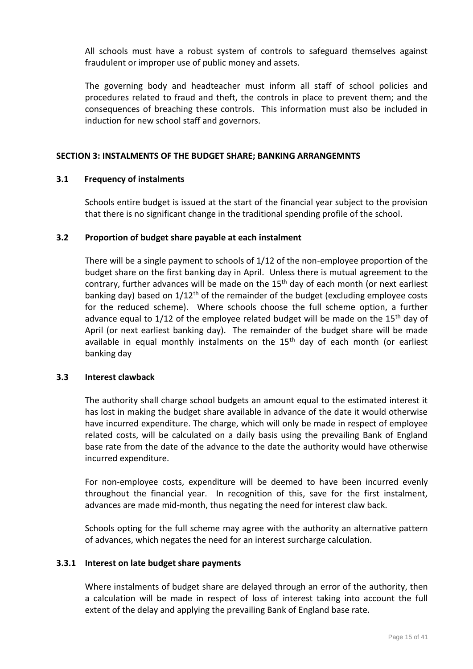All schools must have a robust system of controls to safeguard themselves against fraudulent or improper use of public money and assets.

The governing body and headteacher must inform all staff of school policies and procedures related to fraud and theft, the controls in place to prevent them; and the consequences of breaching these controls. This information must also be included in induction for new school staff and governors.

#### **SECTION 3: INSTALMENTS OF THE BUDGET SHARE; BANKING ARRANGEMNTS**

#### **3.1 Frequency of instalments**

Schools entire budget is issued at the start of the financial year subject to the provision that there is no significant change in the traditional spending profile of the school.

#### **3.2 Proportion of budget share payable at each instalment**

There will be a single payment to schools of 1/12 of the non-employee proportion of the budget share on the first banking day in April. Unless there is mutual agreement to the contrary, further advances will be made on the 15<sup>th</sup> day of each month (or next earliest banking day) based on  $1/12<sup>th</sup>$  of the remainder of the budget (excluding employee costs for the reduced scheme). Where schools choose the full scheme option, a further advance equal to 1/12 of the employee related budget will be made on the  $15<sup>th</sup>$  day of April (or next earliest banking day). The remainder of the budget share will be made available in equal monthly instalments on the  $15<sup>th</sup>$  day of each month (or earliest banking day

#### **3.3 Interest clawback**

The authority shall charge school budgets an amount equal to the estimated interest it has lost in making the budget share available in advance of the date it would otherwise have incurred expenditure. The charge, which will only be made in respect of employee related costs, will be calculated on a daily basis using the prevailing Bank of England base rate from the date of the advance to the date the authority would have otherwise incurred expenditure.

For non-employee costs, expenditure will be deemed to have been incurred evenly throughout the financial year. In recognition of this, save for the first instalment, advances are made mid-month, thus negating the need for interest claw back.

Schools opting for the full scheme may agree with the authority an alternative pattern of advances, which negates the need for an interest surcharge calculation.

#### **3.3.1 Interest on late budget share payments**

Where instalments of budget share are delayed through an error of the authority, then a calculation will be made in respect of loss of interest taking into account the full extent of the delay and applying the prevailing Bank of England base rate.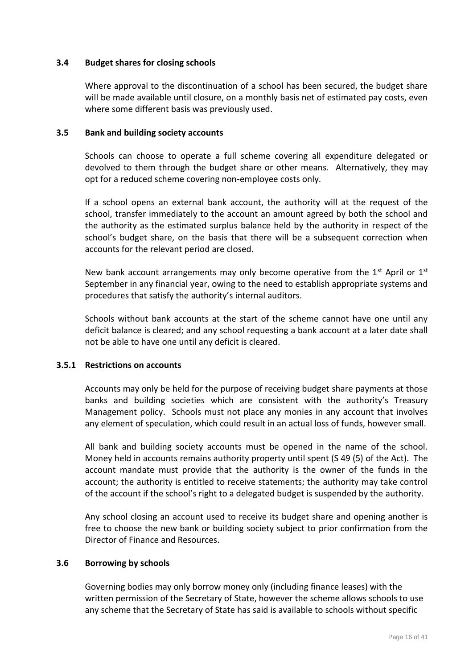### **3.4 Budget shares for closing schools**

Where approval to the discontinuation of a school has been secured, the budget share will be made available until closure, on a monthly basis net of estimated pay costs, even where some different basis was previously used.

#### **3.5 Bank and building society accounts**

Schools can choose to operate a full scheme covering all expenditure delegated or devolved to them through the budget share or other means. Alternatively, they may opt for a reduced scheme covering non-employee costs only.

If a school opens an external bank account, the authority will at the request of the school, transfer immediately to the account an amount agreed by both the school and the authority as the estimated surplus balance held by the authority in respect of the school's budget share, on the basis that there will be a subsequent correction when accounts for the relevant period are closed.

New bank account arrangements may only become operative from the  $1^{st}$  April or  $1^{st}$ September in any financial year, owing to the need to establish appropriate systems and procedures that satisfy the authority's internal auditors.

Schools without bank accounts at the start of the scheme cannot have one until any deficit balance is cleared; and any school requesting a bank account at a later date shall not be able to have one until any deficit is cleared.

# **3.5.1 Restrictions on accounts**

Accounts may only be held for the purpose of receiving budget share payments at those banks and building societies which are consistent with the authority's Treasury Management policy. Schools must not place any monies in any account that involves any element of speculation, which could result in an actual loss of funds, however small.

All bank and building society accounts must be opened in the name of the school. Money held in accounts remains authority property until spent (S 49 (5) of the Act). The account mandate must provide that the authority is the owner of the funds in the account; the authority is entitled to receive statements; the authority may take control of the account if the school's right to a delegated budget is suspended by the authority.

Any school closing an account used to receive its budget share and opening another is free to choose the new bank or building society subject to prior confirmation from the Director of Finance and Resources.

#### **3.6 Borrowing by schools**

Governing bodies may only borrow money only (including finance leases) with the written permission of the Secretary of State, however the scheme allows schools to use any scheme that the Secretary of State has said is available to schools without specific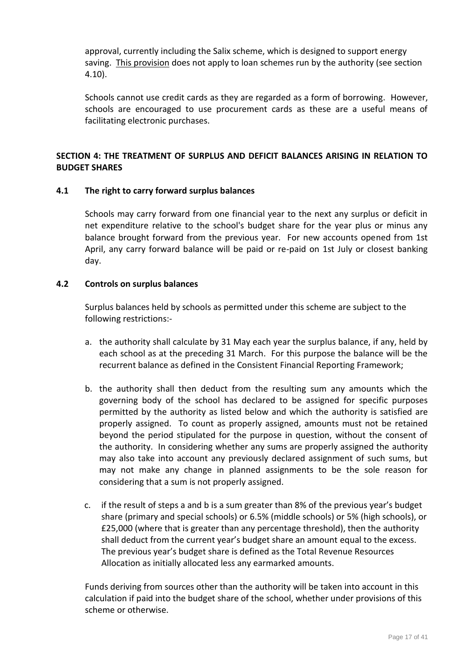approval, currently including the Salix scheme, which is designed to support energy saving. This provision does not apply to loan schemes run by the authority (see section 4.10).

Schools cannot use credit cards as they are regarded as a form of borrowing. However, schools are encouraged to use procurement cards as these are a useful means of facilitating electronic purchases.

## **SECTION 4: THE TREATMENT OF SURPLUS AND DEFICIT BALANCES ARISING IN RELATION TO BUDGET SHARES**

### **4.1 The right to carry forward surplus balances**

Schools may carry forward from one financial year to the next any surplus or deficit in net expenditure relative to the school's budget share for the year plus or minus any balance brought forward from the previous year. For new accounts opened from 1st April, any carry forward balance will be paid or re-paid on 1st July or closest banking day.

### **4.2 Controls on surplus balances**

Surplus balances held by schools as permitted under this scheme are subject to the following restrictions:-

- a. the authority shall calculate by 31 May each year the surplus balance, if any, held by each school as at the preceding 31 March. For this purpose the balance will be the recurrent balance as defined in the Consistent Financial Reporting Framework;
- b. the authority shall then deduct from the resulting sum any amounts which the governing body of the school has declared to be assigned for specific purposes permitted by the authority as listed below and which the authority is satisfied are properly assigned. To count as properly assigned, amounts must not be retained beyond the period stipulated for the purpose in question, without the consent of the authority. In considering whether any sums are properly assigned the authority may also take into account any previously declared assignment of such sums, but may not make any change in planned assignments to be the sole reason for considering that a sum is not properly assigned.
- c. if the result of steps a and b is a sum greater than 8% of the previous year's budget share (primary and special schools) or 6.5% (middle schools) or 5% (high schools), or £25,000 (where that is greater than any percentage threshold), then the authority shall deduct from the current year's budget share an amount equal to the excess. The previous year's budget share is defined as the Total Revenue Resources Allocation as initially allocated less any earmarked amounts.

Funds deriving from sources other than the authority will be taken into account in this calculation if paid into the budget share of the school, whether under provisions of this scheme or otherwise.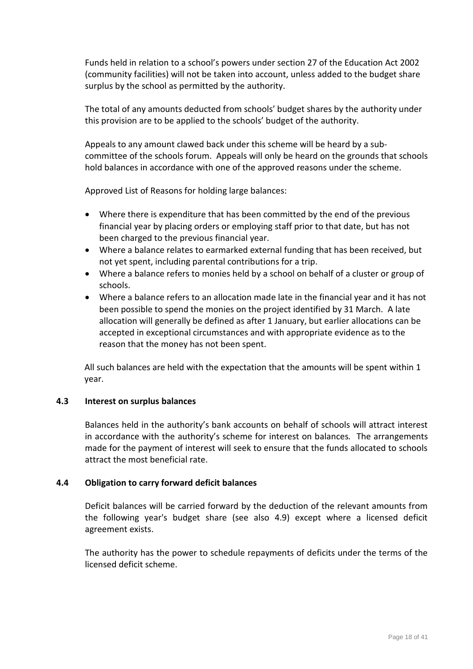Funds held in relation to a school's powers under section 27 of the Education Act 2002 (community facilities) will not be taken into account, unless added to the budget share surplus by the school as permitted by the authority.

The total of any amounts deducted from schools' budget shares by the authority under this provision are to be applied to the schools' budget of the authority.

Appeals to any amount clawed back under this scheme will be heard by a subcommittee of the schools forum. Appeals will only be heard on the grounds that schools hold balances in accordance with one of the approved reasons under the scheme.

Approved List of Reasons for holding large balances:

- Where there is expenditure that has been committed by the end of the previous financial year by placing orders or employing staff prior to that date, but has not been charged to the previous financial year.
- Where a balance relates to earmarked external funding that has been received, but not yet spent, including parental contributions for a trip.
- Where a balance refers to monies held by a school on behalf of a cluster or group of schools.
- Where a balance refers to an allocation made late in the financial year and it has not been possible to spend the monies on the project identified by 31 March. A late allocation will generally be defined as after 1 January, but earlier allocations can be accepted in exceptional circumstances and with appropriate evidence as to the reason that the money has not been spent.

All such balances are held with the expectation that the amounts will be spent within 1 year.

### **4.3 Interest on surplus balances**

Balances held in the authority's bank accounts on behalf of schools will attract interest in accordance with the authority's scheme for interest on balances*.* The arrangements made for the payment of interest will seek to ensure that the funds allocated to schools attract the most beneficial rate.

### **4.4 Obligation to carry forward deficit balances**

Deficit balances will be carried forward by the deduction of the relevant amounts from the following year's budget share (see also 4.9) except where a licensed deficit agreement exists.

The authority has the power to schedule repayments of deficits under the terms of the licensed deficit scheme.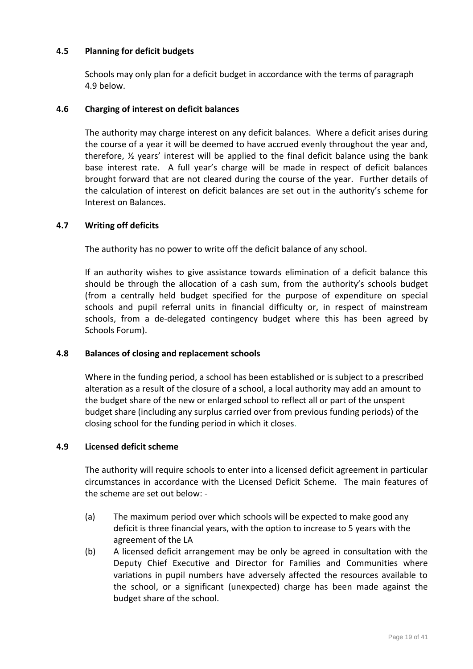## **4.5 Planning for deficit budgets**

Schools may only plan for a deficit budget in accordance with the terms of paragraph 4.9 below.

## **4.6 Charging of interest on deficit balances**

The authority may charge interest on any deficit balances. Where a deficit arises during the course of a year it will be deemed to have accrued evenly throughout the year and, therefore,  $\frac{1}{2}$  years' interest will be applied to the final deficit balance using the bank base interest rate. A full year's charge will be made in respect of deficit balances brought forward that are not cleared during the course of the year. Further details of the calculation of interest on deficit balances are set out in the authority's scheme for Interest on Balances.

## **4.7 Writing off deficits**

The authority has no power to write off the deficit balance of any school.

If an authority wishes to give assistance towards elimination of a deficit balance this should be through the allocation of a cash sum, from the authority's schools budget (from a centrally held budget specified for the purpose of expenditure on special schools and pupil referral units in financial difficulty or, in respect of mainstream schools, from a de-delegated contingency budget where this has been agreed by Schools Forum).

### **4.8 Balances of closing and replacement schools**

Where in the funding period, a school has been established or is subject to a prescribed alteration as a result of the closure of a school, a local authority may add an amount to the budget share of the new or enlarged school to reflect all or part of the unspent budget share (including any surplus carried over from previous funding periods) of the closing school for the funding period in which it closes.

### **4.9 Licensed deficit scheme**

The authority will require schools to enter into a licensed deficit agreement in particular circumstances in accordance with the Licensed Deficit Scheme. The main features of the scheme are set out below: -

- (a) The maximum period over which schools will be expected to make good any deficit is three financial years, with the option to increase to 5 years with the agreement of the LA
- (b) A licensed deficit arrangement may be only be agreed in consultation with the Deputy Chief Executive and Director for Families and Communities where variations in pupil numbers have adversely affected the resources available to the school, or a significant (unexpected) charge has been made against the budget share of the school.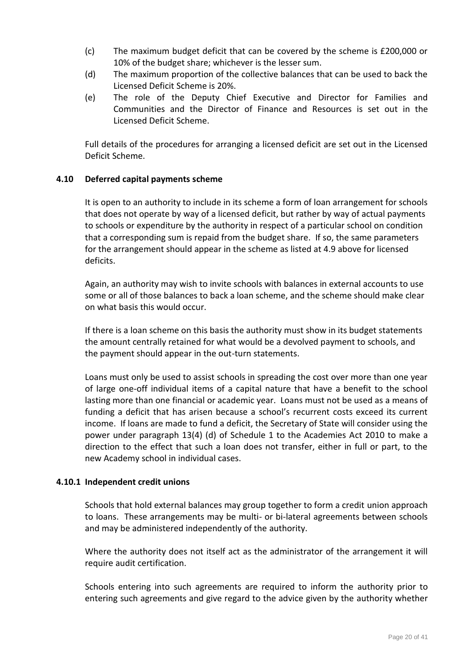- (c) The maximum budget deficit that can be covered by the scheme is £200,000 or 10% of the budget share; whichever is the lesser sum.
- (d) The maximum proportion of the collective balances that can be used to back the Licensed Deficit Scheme is 20%.
- (e) The role of the Deputy Chief Executive and Director for Families and Communities and the Director of Finance and Resources is set out in the Licensed Deficit Scheme.

Full details of the procedures for arranging a licensed deficit are set out in the Licensed Deficit Scheme.

### **4.10 Deferred capital payments scheme**

It is open to an authority to include in its scheme a form of loan arrangement for schools that does not operate by way of a licensed deficit, but rather by way of actual payments to schools or expenditure by the authority in respect of a particular school on condition that a corresponding sum is repaid from the budget share. If so, the same parameters for the arrangement should appear in the scheme as listed at 4.9 above for licensed deficits.

Again, an authority may wish to invite schools with balances in external accounts to use some or all of those balances to back a loan scheme, and the scheme should make clear on what basis this would occur.

If there is a loan scheme on this basis the authority must show in its budget statements the amount centrally retained for what would be a devolved payment to schools, and the payment should appear in the out-turn statements.

Loans must only be used to assist schools in spreading the cost over more than one year of large one-off individual items of a capital nature that have a benefit to the school lasting more than one financial or academic year. Loans must not be used as a means of funding a deficit that has arisen because a school's recurrent costs exceed its current income. If loans are made to fund a deficit, the Secretary of State will consider using the power under paragraph 13(4) (d) of Schedule 1 to the Academies Act 2010 to make a direction to the effect that such a loan does not transfer, either in full or part, to the new Academy school in individual cases.

### **4.10.1 Independent credit unions**

Schools that hold external balances may group together to form a credit union approach to loans. These arrangements may be multi- or bi-lateral agreements between schools and may be administered independently of the authority.

Where the authority does not itself act as the administrator of the arrangement it will require audit certification.

Schools entering into such agreements are required to inform the authority prior to entering such agreements and give regard to the advice given by the authority whether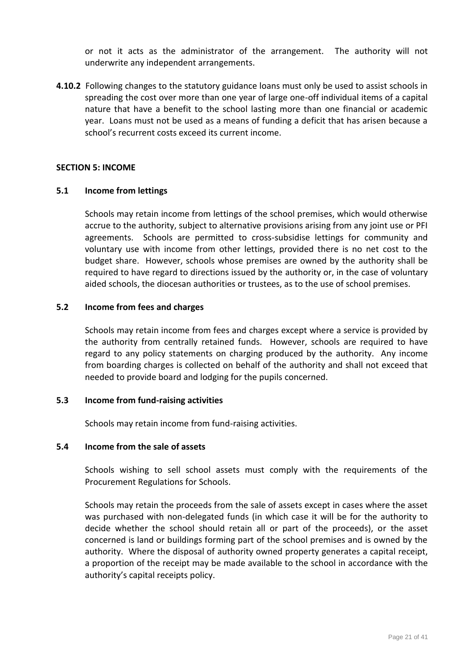or not it acts as the administrator of the arrangement. The authority will not underwrite any independent arrangements.

**4.10.2** Following changes to the statutory guidance loans must only be used to assist schools in spreading the cost over more than one year of large one-off individual items of a capital nature that have a benefit to the school lasting more than one financial or academic year. Loans must not be used as a means of funding a deficit that has arisen because a school's recurrent costs exceed its current income.

#### **SECTION 5: INCOME**

#### **5.1 Income from lettings**

Schools may retain income from lettings of the school premises, which would otherwise accrue to the authority, subject to alternative provisions arising from any joint use or PFI agreements. Schools are permitted to cross-subsidise lettings for community and voluntary use with income from other lettings, provided there is no net cost to the budget share. However, schools whose premises are owned by the authority shall be required to have regard to directions issued by the authority or, in the case of voluntary aided schools, the diocesan authorities or trustees, as to the use of school premises.

#### **5.2 Income from fees and charges**

Schools may retain income from fees and charges except where a service is provided by the authority from centrally retained funds. However, schools are required to have regard to any policy statements on charging produced by the authority. Any income from boarding charges is collected on behalf of the authority and shall not exceed that needed to provide board and lodging for the pupils concerned.

#### **5.3 Income from fund-raising activities**

Schools may retain income from fund-raising activities.

#### **5.4 Income from the sale of assets**

Schools wishing to sell school assets must comply with the requirements of the Procurement Regulations for Schools.

Schools may retain the proceeds from the sale of assets except in cases where the asset was purchased with non-delegated funds (in which case it will be for the authority to decide whether the school should retain all or part of the proceeds), or the asset concerned is land or buildings forming part of the school premises and is owned by the authority. Where the disposal of authority owned property generates a capital receipt, a proportion of the receipt may be made available to the school in accordance with the authority's capital receipts policy.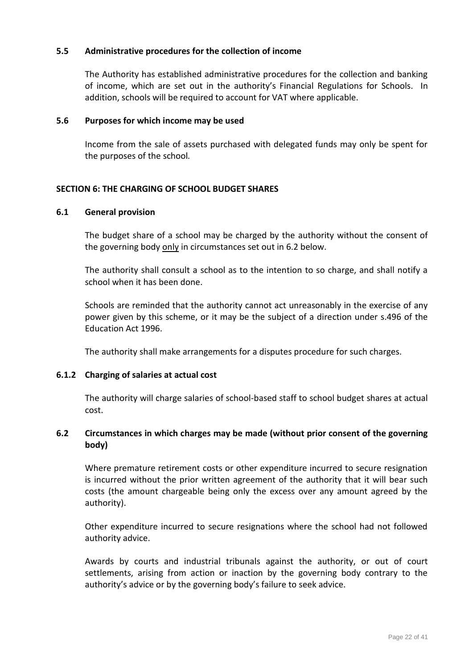### **5.5 Administrative procedures for the collection of income**

The Authority has established administrative procedures for the collection and banking of income, which are set out in the authority's Financial Regulations for Schools. In addition, schools will be required to account for VAT where applicable.

#### **5.6 Purposes for which income may be used**

Income from the sale of assets purchased with delegated funds may only be spent for the purposes of the school*.*

### **SECTION 6: THE CHARGING OF SCHOOL BUDGET SHARES**

#### **6.1 General provision**

The budget share of a school may be charged by the authority without the consent of the governing body only in circumstances set out in 6.2 below.

The authority shall consult a school as to the intention to so charge, and shall notify a school when it has been done.

Schools are reminded that the authority cannot act unreasonably in the exercise of any power given by this scheme, or it may be the subject of a direction under s.496 of the Education Act 1996.

The authority shall make arrangements for a disputes procedure for such charges.

### **6.1.2 Charging of salaries at actual cost**

The authority will charge salaries of school-based staff to school budget shares at actual cost.

## **6.2 Circumstances in which charges may be made (without prior consent of the governing body)**

Where premature retirement costs or other expenditure incurred to secure resignation is incurred without the prior written agreement of the authority that it will bear such costs (the amount chargeable being only the excess over any amount agreed by the authority).

Other expenditure incurred to secure resignations where the school had not followed authority advice.

Awards by courts and industrial tribunals against the authority, or out of court settlements, arising from action or inaction by the governing body contrary to the authority's advice or by the governing body's failure to seek advice.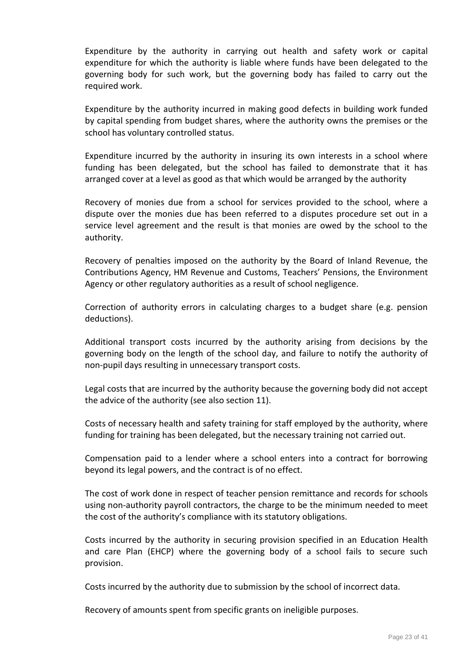Expenditure by the authority in carrying out health and safety work or capital expenditure for which the authority is liable where funds have been delegated to the governing body for such work, but the governing body has failed to carry out the required work.

Expenditure by the authority incurred in making good defects in building work funded by capital spending from budget shares, where the authority owns the premises or the school has voluntary controlled status.

Expenditure incurred by the authority in insuring its own interests in a school where funding has been delegated, but the school has failed to demonstrate that it has arranged cover at a level as good as that which would be arranged by the authority

Recovery of monies due from a school for services provided to the school, where a dispute over the monies due has been referred to a disputes procedure set out in a service level agreement and the result is that monies are owed by the school to the authority.

Recovery of penalties imposed on the authority by the Board of Inland Revenue, the Contributions Agency, HM Revenue and Customs, Teachers' Pensions, the Environment Agency or other regulatory authorities as a result of school negligence.

Correction of authority errors in calculating charges to a budget share (e.g. pension deductions).

Additional transport costs incurred by the authority arising from decisions by the governing body on the length of the school day, and failure to notify the authority of non-pupil days resulting in unnecessary transport costs.

Legal costs that are incurred by the authority because the governing body did not accept the advice of the authority (see also section 11).

Costs of necessary health and safety training for staff employed by the authority, where funding for training has been delegated, but the necessary training not carried out.

Compensation paid to a lender where a school enters into a contract for borrowing beyond its legal powers, and the contract is of no effect.

The cost of work done in respect of teacher pension remittance and records for schools using non-authority payroll contractors, the charge to be the minimum needed to meet the cost of the authority's compliance with its statutory obligations.

Costs incurred by the authority in securing provision specified in an Education Health and care Plan (EHCP) where the governing body of a school fails to secure such provision.

Costs incurred by the authority due to submission by the school of incorrect data.

Recovery of amounts spent from specific grants on ineligible purposes.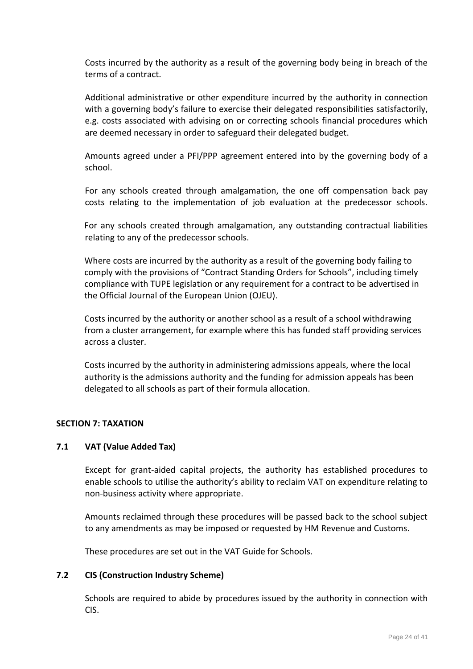Costs incurred by the authority as a result of the governing body being in breach of the terms of a contract.

Additional administrative or other expenditure incurred by the authority in connection with a governing body's failure to exercise their delegated responsibilities satisfactorily, e.g. costs associated with advising on or correcting schools financial procedures which are deemed necessary in order to safeguard their delegated budget.

Amounts agreed under a PFI/PPP agreement entered into by the governing body of a school.

For any schools created through amalgamation, the one off compensation back pay costs relating to the implementation of job evaluation at the predecessor schools.

For any schools created through amalgamation, any outstanding contractual liabilities relating to any of the predecessor schools.

Where costs are incurred by the authority as a result of the governing body failing to comply with the provisions of "Contract Standing Orders for Schools", including timely compliance with TUPE legislation or any requirement for a contract to be advertised in the Official Journal of the European Union (OJEU).

Costs incurred by the authority or another school as a result of a school withdrawing from a cluster arrangement, for example where this has funded staff providing services across a cluster.

Costs incurred by the authority in administering admissions appeals, where the local authority is the admissions authority and the funding for admission appeals has been delegated to all schools as part of their formula allocation.

### **SECTION 7: TAXATION**

#### **7.1 VAT (Value Added Tax)**

Except for grant-aided capital projects, the authority has established procedures to enable schools to utilise the authority's ability to reclaim VAT on expenditure relating to non-business activity where appropriate.

Amounts reclaimed through these procedures will be passed back to the school subject to any amendments as may be imposed or requested by HM Revenue and Customs.

These procedures are set out in the VAT Guide for Schools.

#### **7.2 CIS (Construction Industry Scheme)**

Schools are required to abide by procedures issued by the authority in connection with CIS.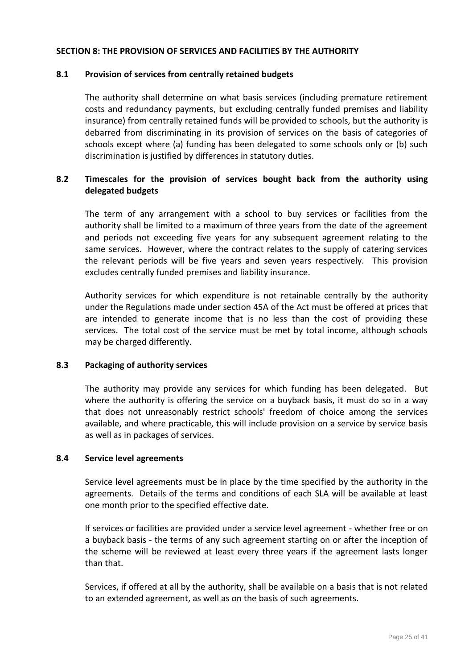### **SECTION 8: THE PROVISION OF SERVICES AND FACILITIES BY THE AUTHORITY**

#### **8.1 Provision of services from centrally retained budgets**

The authority shall determine on what basis services (including premature retirement costs and redundancy payments, but excluding centrally funded premises and liability insurance) from centrally retained funds will be provided to schools, but the authority is debarred from discriminating in its provision of services on the basis of categories of schools except where (a) funding has been delegated to some schools only or (b) such discrimination is justified by differences in statutory duties.

## **8.2 Timescales for the provision of services bought back from the authority using delegated budgets**

The term of any arrangement with a school to buy services or facilities from the authority shall be limited to a maximum of three years from the date of the agreement and periods not exceeding five years for any subsequent agreement relating to the same services. However, where the contract relates to the supply of catering services the relevant periods will be five years and seven years respectively. This provision excludes centrally funded premises and liability insurance.

Authority services for which expenditure is not retainable centrally by the authority under the Regulations made under section 45A of the Act must be offered at prices that are intended to generate income that is no less than the cost of providing these services. The total cost of the service must be met by total income, although schools may be charged differently.

### **8.3 Packaging of authority services**

The authority may provide any services for which funding has been delegated. But where the authority is offering the service on a buyback basis, it must do so in a way that does not unreasonably restrict schools' freedom of choice among the services available, and where practicable, this will include provision on a service by service basis as well as in packages of services.

#### **8.4 Service level agreements**

Service level agreements must be in place by the time specified by the authority in the agreements. Details of the terms and conditions of each SLA will be available at least one month prior to the specified effective date.

If services or facilities are provided under a service level agreement - whether free or on a buyback basis - the terms of any such agreement starting on or after the inception of the scheme will be reviewed at least every three years if the agreement lasts longer than that.

Services, if offered at all by the authority, shall be available on a basis that is not related to an extended agreement, as well as on the basis of such agreements.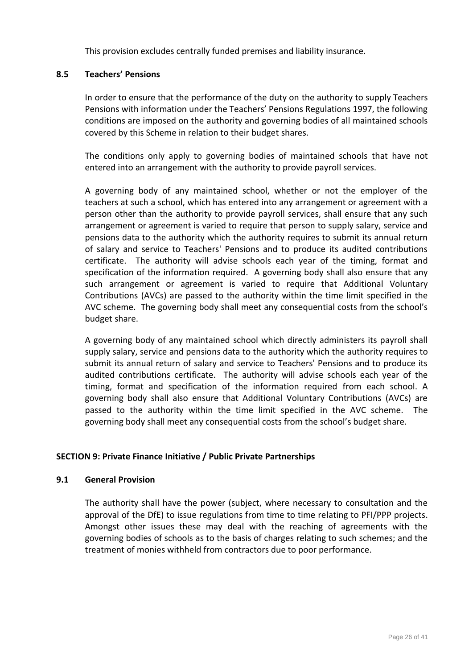This provision excludes centrally funded premises and liability insurance.

# **8.5 Teachers' Pensions**

In order to ensure that the performance of the duty on the authority to supply Teachers Pensions with information under the Teachers' Pensions Regulations 1997, the following conditions are imposed on the authority and governing bodies of all maintained schools covered by this Scheme in relation to their budget shares.

The conditions only apply to governing bodies of maintained schools that have not entered into an arrangement with the authority to provide payroll services.

A governing body of any maintained school, whether or not the employer of the teachers at such a school, which has entered into any arrangement or agreement with a person other than the authority to provide payroll services, shall ensure that any such arrangement or agreement is varied to require that person to supply salary, service and pensions data to the authority which the authority requires to submit its annual return of salary and service to Teachers' Pensions and to produce its audited contributions certificate. The authority will advise schools each year of the timing, format and specification of the information required. A governing body shall also ensure that any such arrangement or agreement is varied to require that Additional Voluntary Contributions (AVCs) are passed to the authority within the time limit specified in the AVC scheme. The governing body shall meet any consequential costs from the school's budget share.

A governing body of any maintained school which directly administers its payroll shall supply salary, service and pensions data to the authority which the authority requires to submit its annual return of salary and service to Teachers' Pensions and to produce its audited contributions certificate. The authority will advise schools each year of the timing, format and specification of the information required from each school. A governing body shall also ensure that Additional Voluntary Contributions (AVCs) are passed to the authority within the time limit specified in the AVC scheme. The governing body shall meet any consequential costs from the school's budget share.

### **SECTION 9: Private Finance Initiative / Public Private Partnerships**

### **9.1 General Provision**

The authority shall have the power (subject, where necessary to consultation and the approval of the DfE) to issue regulations from time to time relating to PFI/PPP projects. Amongst other issues these may deal with the reaching of agreements with the governing bodies of schools as to the basis of charges relating to such schemes; and the treatment of monies withheld from contractors due to poor performance.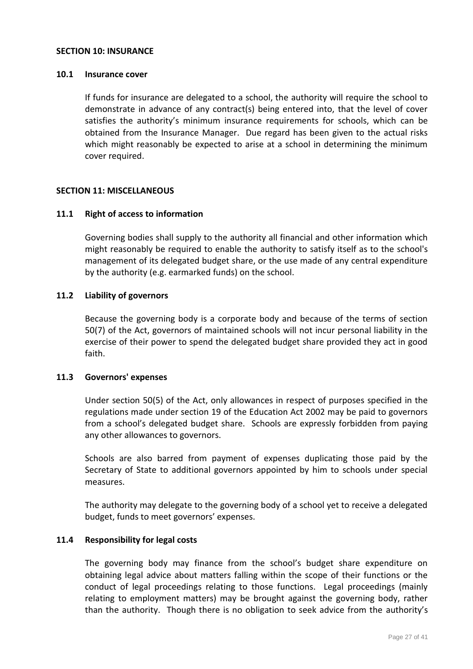#### **SECTION 10: INSURANCE**

#### **10.1 Insurance cover**

If funds for insurance are delegated to a school, the authority will require the school to demonstrate in advance of any contract(s) being entered into, that the level of cover satisfies the authority's minimum insurance requirements for schools, which can be obtained from the Insurance Manager. Due regard has been given to the actual risks which might reasonably be expected to arise at a school in determining the minimum cover required.

### **SECTION 11: MISCELLANEOUS**

#### **11.1 Right of access to information**

Governing bodies shall supply to the authority all financial and other information which might reasonably be required to enable the authority to satisfy itself as to the school's management of its delegated budget share, or the use made of any central expenditure by the authority (e.g. earmarked funds) on the school.

### **11.2 Liability of governors**

Because the governing body is a corporate body and because of the terms of section 50(7) of the Act, governors of maintained schools will not incur personal liability in the exercise of their power to spend the delegated budget share provided they act in good faith.

#### **11.3 Governors' expenses**

Under section 50(5) of the Act, only allowances in respect of purposes specified in the regulations made under section 19 of the Education Act 2002 may be paid to governors from a school's delegated budget share. Schools are expressly forbidden from paying any other allowances to governors.

Schools are also barred from payment of expenses duplicating those paid by the Secretary of State to additional governors appointed by him to schools under special measures.

The authority may delegate to the governing body of a school yet to receive a delegated budget, funds to meet governors' expenses.

### **11.4 Responsibility for legal costs**

The governing body may finance from the school's budget share expenditure on obtaining legal advice about matters falling within the scope of their functions or the conduct of legal proceedings relating to those functions. Legal proceedings (mainly relating to employment matters) may be brought against the governing body, rather than the authority. Though there is no obligation to seek advice from the authority's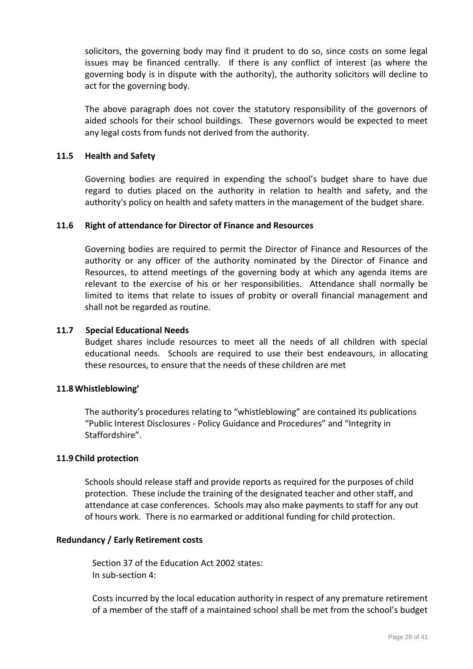solicitors, the governing body may find it prudent to do so, since costs on some legal issues may be financed centrally. If there is any conflict of interest (as where the governing body is in dispute with the authority), the authority solicitors will decline to act for the governing body.

The above paragraph does not cover the statutory responsibility of the governors of aided schools for their school buildings. These governors would be expected to meet any legal costs from funds not derived from the authority.

### **11.5 Health and Safety**

Governing bodies are required in expending the school's budget share to have due regard to duties placed on the authority in relation to health and safety, and the authority's policy on health and safety matters in the management of the budget share.

## **11.6 Right of attendance for Director of Finance and Resources**

Governing bodies are required to permit the Director of Finance and Resources of the authority or any officer of the authority nominated by the Director of Finance and Resources, to attend meetings of the governing body at which any agenda items are relevant to the exercise of his or her responsibilities. Attendance shall normally be limited to items that relate to issues of probity or overall financial management and shall not be regarded as routine*.*

### **11.7 Special Educational Needs**

Budget shares include resources to meet all the needs of all children with special educational needs. Schools are required to use their best endeavours, in allocating these resources, to ensure that the needs of these children are met

### **11.8Whistleblowing'**

The authority's procedures relating to "whistleblowing" are contained its publications "Public Interest Disclosures - Policy Guidance and Procedures" and "Integrity in Staffordshire".

### **11.9 Child protection**

Schools should release staff and provide reports as required for the purposes of child protection. These include the training of the designated teacher and other staff, and attendance at case conferences. Schools may also make payments to staff for any out of hours work. There is no earmarked or additional funding for child protection.

### **Redundancy / Early Retirement costs**

Section 37 of the Education Act 2002 states: In sub-section 4:

Costs incurred by the local education authority in respect of any premature retirement of a member of the staff of a maintained school shall be met from the school's budget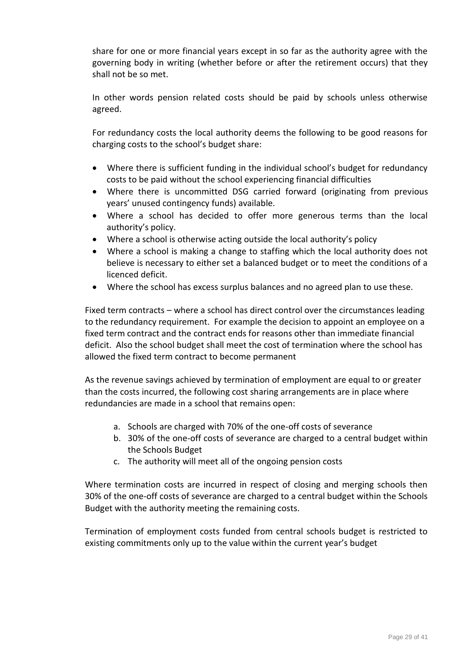share for one or more financial years except in so far as the authority agree with the governing body in writing (whether before or after the retirement occurs) that they shall not be so met.

In other words pension related costs should be paid by schools unless otherwise agreed.

For redundancy costs the local authority deems the following to be good reasons for charging costs to the school's budget share:

- Where there is sufficient funding in the individual school's budget for redundancy costs to be paid without the school experiencing financial difficulties
- Where there is uncommitted DSG carried forward (originating from previous years' unused contingency funds) available.
- Where a school has decided to offer more generous terms than the local authority's policy.
- Where a school is otherwise acting outside the local authority's policy
- Where a school is making a change to staffing which the local authority does not believe is necessary to either set a balanced budget or to meet the conditions of a licenced deficit.
- Where the school has excess surplus balances and no agreed plan to use these.

Fixed term contracts – where a school has direct control over the circumstances leading to the redundancy requirement. For example the decision to appoint an employee on a fixed term contract and the contract ends for reasons other than immediate financial deficit. Also the school budget shall meet the cost of termination where the school has allowed the fixed term contract to become permanent

As the revenue savings achieved by termination of employment are equal to or greater than the costs incurred, the following cost sharing arrangements are in place where redundancies are made in a school that remains open:

- a. Schools are charged with 70% of the one-off costs of severance
- b. 30% of the one-off costs of severance are charged to a central budget within the Schools Budget
- c. The authority will meet all of the ongoing pension costs

Where termination costs are incurred in respect of closing and merging schools then 30% of the one-off costs of severance are charged to a central budget within the Schools Budget with the authority meeting the remaining costs.

Termination of employment costs funded from central schools budget is restricted to existing commitments only up to the value within the current year's budget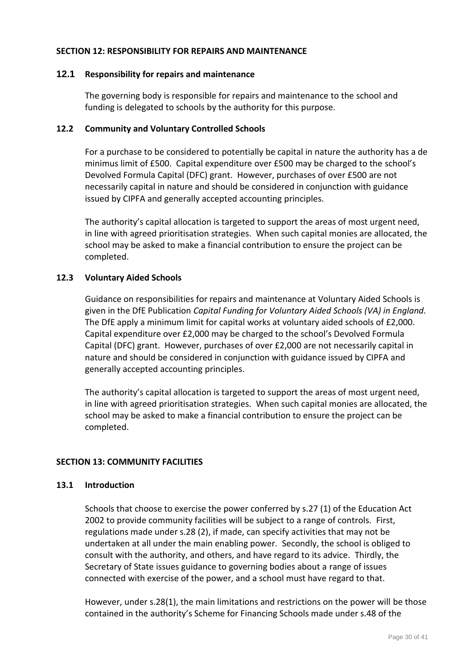### **SECTION 12: RESPONSIBILITY FOR REPAIRS AND MAINTENANCE**

## **12.1 Responsibility for repairs and maintenance**

The governing body is responsible for repairs and maintenance to the school and funding is delegated to schools by the authority for this purpose.

## **12.2 Community and Voluntary Controlled Schools**

For a purchase to be considered to potentially be capital in nature the authority has a de minimus limit of £500. Capital expenditure over £500 may be charged to the school's Devolved Formula Capital (DFC) grant. However, purchases of over £500 are not necessarily capital in nature and should be considered in conjunction with guidance issued by CIPFA and generally accepted accounting principles.

The authority's capital allocation is targeted to support the areas of most urgent need, in line with agreed prioritisation strategies. When such capital monies are allocated, the school may be asked to make a financial contribution to ensure the project can be completed.

## **12.3 Voluntary Aided Schools**

Guidance on responsibilities for repairs and maintenance at Voluntary Aided Schools is given in the DfE Publication *Capital Funding for Voluntary Aided Schools (VA) in England.* The DfE apply a minimum limit for capital works at voluntary aided schools of £2,000. Capital expenditure over £2,000 may be charged to the school's Devolved Formula Capital (DFC) grant. However, purchases of over £2,000 are not necessarily capital in nature and should be considered in conjunction with guidance issued by CIPFA and generally accepted accounting principles.

The authority's capital allocation is targeted to support the areas of most urgent need, in line with agreed prioritisation strategies. When such capital monies are allocated, the school may be asked to make a financial contribution to ensure the project can be completed.

### **SECTION 13: COMMUNITY FACILITIES**

### **13.1 Introduction**

Schools that choose to exercise the power conferred by s.27 (1) of the Education Act 2002 to provide community facilities will be subject to a range of controls. First, regulations made under s.28 (2), if made, can specify activities that may not be undertaken at all under the main enabling power. Secondly, the school is obliged to consult with the authority, and others, and have regard to its advice. Thirdly, the Secretary of State issues guidance to governing bodies about a range of issues connected with exercise of the power, and a school must have regard to that.

However, under s.28(1), the main limitations and restrictions on the power will be those contained in the authority's Scheme for Financing Schools made under s.48 of the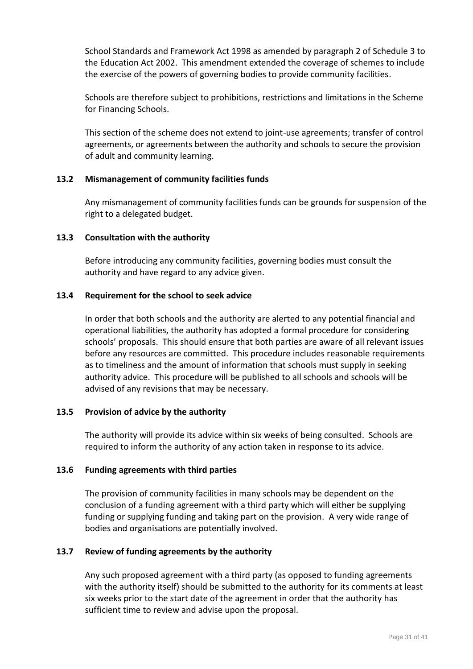School Standards and Framework Act 1998 as amended by paragraph 2 of Schedule 3 to the Education Act 2002. This amendment extended the coverage of schemes to include the exercise of the powers of governing bodies to provide community facilities.

Schools are therefore subject to prohibitions, restrictions and limitations in the Scheme for Financing Schools.

This section of the scheme does not extend to joint-use agreements; transfer of control agreements, or agreements between the authority and schools to secure the provision of adult and community learning.

## **13.2 Mismanagement of community facilities funds**

Any mismanagement of community facilities funds can be grounds for suspension of the right to a delegated budget.

## **13.3 Consultation with the authority**

Before introducing any community facilities, governing bodies must consult the authority and have regard to any advice given.

## **13.4 Requirement for the school to seek advice**

In order that both schools and the authority are alerted to any potential financial and operational liabilities, the authority has adopted a formal procedure for considering schools' proposals. This should ensure that both parties are aware of all relevant issues before any resources are committed. This procedure includes reasonable requirements as to timeliness and the amount of information that schools must supply in seeking authority advice. This procedure will be published to all schools and schools will be advised of any revisions that may be necessary.

### **13.5 Provision of advice by the authority**

The authority will provide its advice within six weeks of being consulted. Schools are required to inform the authority of any action taken in response to its advice.

### **13.6 Funding agreements with third parties**

The provision of community facilities in many schools may be dependent on the conclusion of a funding agreement with a third party which will either be supplying funding or supplying funding and taking part on the provision. A very wide range of bodies and organisations are potentially involved.

### **13.7 Review of funding agreements by the authority**

Any such proposed agreement with a third party (as opposed to funding agreements with the authority itself) should be submitted to the authority for its comments at least six weeks prior to the start date of the agreement in order that the authority has sufficient time to review and advise upon the proposal.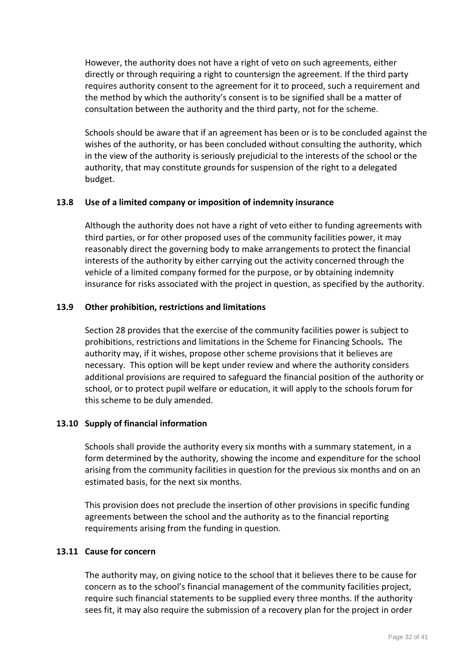However, the authority does not have a right of veto on such agreements, either directly or through requiring a right to countersign the agreement. If the third party requires authority consent to the agreement for it to proceed, such a requirement and the method by which the authority's consent is to be signified shall be a matter of consultation between the authority and the third party, not for the scheme.

Schools should be aware that if an agreement has been or is to be concluded against the wishes of the authority, or has been concluded without consulting the authority, which in the view of the authority is seriously prejudicial to the interests of the school or the authority, that may constitute grounds for suspension of the right to a delegated budget.

### **13.8 Use of a limited company or imposition of indemnity insurance**

Although the authority does not have a right of veto either to funding agreements with third parties, or for other proposed uses of the community facilities power, it may reasonably direct the governing body to make arrangements to protect the financial interests of the authority by either carrying out the activity concerned through the vehicle of a limited company formed for the purpose, or by obtaining indemnity insurance for risks associated with the project in question, as specified by the authority.

#### **13.9 Other prohibition, restrictions and limitations**

Section 28 provides that the exercise of the community facilities power is subject to prohibitions, restrictions and limitations in the Scheme for Financing Schools**.** The authority may, if it wishes, propose other scheme provisions that it believes are necessary. This option will be kept under review and where the authority considers additional provisions are required to safeguard the financial position of the authority or school, or to protect pupil welfare or education, it will apply to the schools forum for this scheme to be duly amended.

#### **13.10 Supply of financial information**

Schools shall provide the authority every six months with a summary statement, in a form determined by the authority, showing the income and expenditure for the school arising from the community facilities in question for the previous six months and on an estimated basis, for the next six months.

This provision does not preclude the insertion of other provisions in specific funding agreements between the school and the authority as to the financial reporting requirements arising from the funding in question.

## **13.11 Cause for concern**

The authority may, on giving notice to the school that it believes there to be cause for concern as to the school's financial management of the community facilities project, require such financial statements to be supplied every three months. If the authority sees fit, it may also require the submission of a recovery plan for the project in order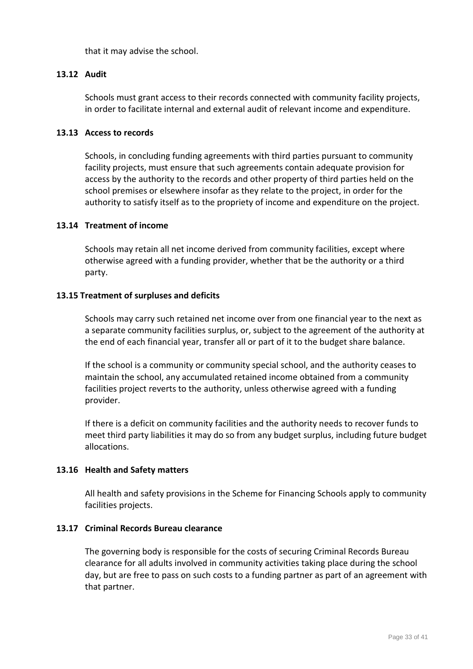that it may advise the school.

#### **13.12 Audit**

Schools must grant access to their records connected with community facility projects, in order to facilitate internal and external audit of relevant income and expenditure.

#### **13.13 Access to records**

Schools, in concluding funding agreements with third parties pursuant to community facility projects, must ensure that such agreements contain adequate provision for access by the authority to the records and other property of third parties held on the school premises or elsewhere insofar as they relate to the project, in order for the authority to satisfy itself as to the propriety of income and expenditure on the project.

#### **13.14 Treatment of income**

Schools may retain all net income derived from community facilities, except where otherwise agreed with a funding provider, whether that be the authority or a third party.

#### **13.15 Treatment of surpluses and deficits**

Schools may carry such retained net income over from one financial year to the next as a separate community facilities surplus, or, subject to the agreement of the authority at the end of each financial year, transfer all or part of it to the budget share balance.

If the school is a community or community special school, and the authority ceases to maintain the school, any accumulated retained income obtained from a community facilities project reverts to the authority, unless otherwise agreed with a funding provider.

If there is a deficit on community facilities and the authority needs to recover funds to meet third party liabilities it may do so from any budget surplus, including future budget allocations.

### **13.16 Health and Safety matters**

All health and safety provisions in the Scheme for Financing Schools apply to community facilities projects.

#### **13.17 Criminal Records Bureau clearance**

The governing body is responsible for the costs of securing Criminal Records Bureau clearance for all adults involved in community activities taking place during the school day, but are free to pass on such costs to a funding partner as part of an agreement with that partner.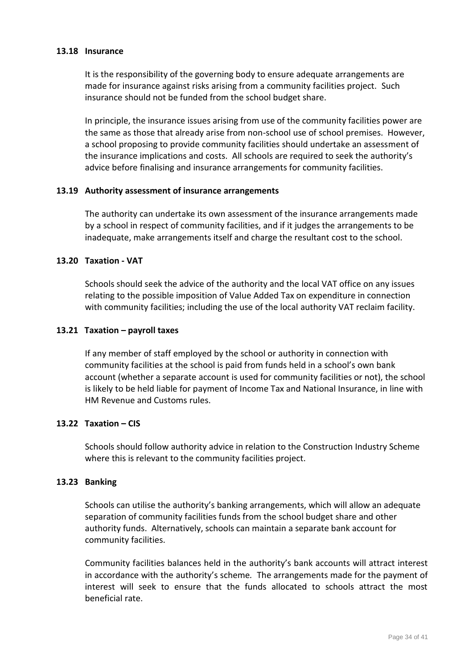#### **13.18 Insurance**

It is the responsibility of the governing body to ensure adequate arrangements are made for insurance against risks arising from a community facilities project. Such insurance should not be funded from the school budget share.

In principle, the insurance issues arising from use of the community facilities power are the same as those that already arise from non-school use of school premises. However, a school proposing to provide community facilities should undertake an assessment of the insurance implications and costs. All schools are required to seek the authority's advice before finalising and insurance arrangements for community facilities.

#### **13.19 Authority assessment of insurance arrangements**

The authority can undertake its own assessment of the insurance arrangements made by a school in respect of community facilities, and if it judges the arrangements to be inadequate, make arrangements itself and charge the resultant cost to the school.

#### **13.20 Taxation - VAT**

Schools should seek the advice of the authority and the local VAT office on any issues relating to the possible imposition of Value Added Tax on expenditure in connection with community facilities; including the use of the local authority VAT reclaim facility.

#### **13.21 Taxation – payroll taxes**

If any member of staff employed by the school or authority in connection with community facilities at the school is paid from funds held in a school's own bank account (whether a separate account is used for community facilities or not), the school is likely to be held liable for payment of Income Tax and National Insurance, in line with HM Revenue and Customs rules.

## **13.22 Taxation – CIS**

Schools should follow authority advice in relation to the Construction Industry Scheme where this is relevant to the community facilities project.

#### **13.23 Banking**

Schools can utilise the authority's banking arrangements, which will allow an adequate separation of community facilities funds from the school budget share and other authority funds. Alternatively, schools can maintain a separate bank account for community facilities.

Community facilities balances held in the authority's bank accounts will attract interest in accordance with the authority's scheme*.* The arrangements made for the payment of interest will seek to ensure that the funds allocated to schools attract the most beneficial rate.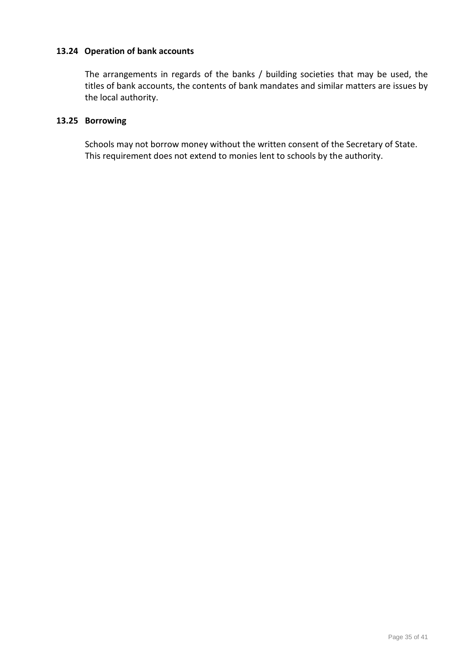## **13.24 Operation of bank accounts**

The arrangements in regards of the banks / building societies that may be used, the titles of bank accounts, the contents of bank mandates and similar matters are issues by the local authority.

## **13.25 Borrowing**

Schools may not borrow money without the written consent of the Secretary of State. This requirement does not extend to monies lent to schools by the authority.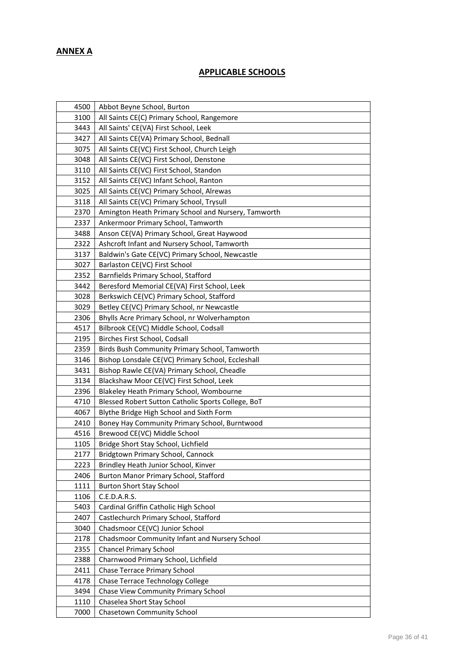# **ANNEX A**

# **APPLICABLE SCHOOLS**

| 4500 | Abbot Beyne School, Burton                          |
|------|-----------------------------------------------------|
| 3100 | All Saints CE(C) Primary School, Rangemore          |
| 3443 | All Saints' CE(VA) First School, Leek               |
| 3427 | All Saints CE(VA) Primary School, Bednall           |
| 3075 | All Saints CE(VC) First School, Church Leigh        |
| 3048 | All Saints CE(VC) First School, Denstone            |
| 3110 | All Saints CE(VC) First School, Standon             |
| 3152 | All Saints CE(VC) Infant School, Ranton             |
| 3025 | All Saints CE(VC) Primary School, Alrewas           |
| 3118 | All Saints CE(VC) Primary School, Trysull           |
| 2370 | Amington Heath Primary School and Nursery, Tamworth |
| 2337 | Ankermoor Primary School, Tamworth                  |
| 3488 | Anson CE(VA) Primary School, Great Haywood          |
| 2322 | Ashcroft Infant and Nursery School, Tamworth        |
| 3137 | Baldwin's Gate CE(VC) Primary School, Newcastle     |
| 3027 | Barlaston CE(VC) First School                       |
| 2352 | Barnfields Primary School, Stafford                 |
| 3442 | Beresford Memorial CE(VA) First School, Leek        |
| 3028 | Berkswich CE(VC) Primary School, Stafford           |
| 3029 | Betley CE(VC) Primary School, nr Newcastle          |
| 2306 | Bhylls Acre Primary School, nr Wolverhampton        |
| 4517 | Bilbrook CE(VC) Middle School, Codsall              |
| 2195 | Birches First School, Codsall                       |
| 2359 | Birds Bush Community Primary School, Tamworth       |
| 3146 | Bishop Lonsdale CE(VC) Primary School, Eccleshall   |
| 3431 | Bishop Rawle CE(VA) Primary School, Cheadle         |
| 3134 | Blackshaw Moor CE(VC) First School, Leek            |
| 2396 | Blakeley Heath Primary School, Wombourne            |
| 4710 | Blessed Robert Sutton Catholic Sports College, BoT  |
| 4067 | Blythe Bridge High School and Sixth Form            |
| 2410 | Boney Hay Community Primary School, Burntwood       |
| 4516 | Brewood CE(VC) Middle School                        |
| 1105 | Bridge Short Stay School, Lichfield                 |
| 2177 | Bridgtown Primary School, Cannock                   |
| 2223 | Brindley Heath Junior School, Kinver                |
| 2406 | Burton Manor Primary School, Stafford               |
| 1111 | <b>Burton Short Stay School</b>                     |
| 1106 | C.E.D.A.R.S.                                        |
| 5403 | Cardinal Griffin Catholic High School               |
| 2407 | Castlechurch Primary School, Stafford               |
| 3040 | Chadsmoor CE(VC) Junior School                      |
| 2178 | Chadsmoor Community Infant and Nursery School       |
| 2355 | <b>Chancel Primary School</b>                       |
| 2388 | Charnwood Primary School, Lichfield                 |
| 2411 | <b>Chase Terrace Primary School</b>                 |
| 4178 | Chase Terrace Technology College                    |
| 3494 | Chase View Community Primary School                 |
| 1110 | Chaselea Short Stay School                          |
| 7000 | Chasetown Community School                          |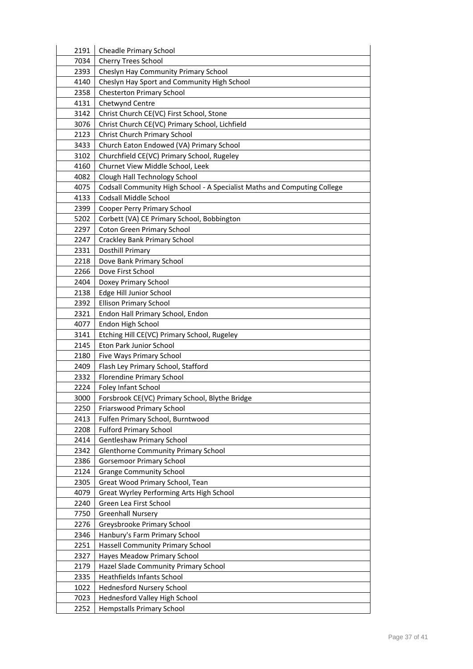| 2191 | <b>Cheadle Primary School</b>                                            |
|------|--------------------------------------------------------------------------|
| 7034 | <b>Cherry Trees School</b>                                               |
| 2393 | Cheslyn Hay Community Primary School                                     |
| 4140 | Cheslyn Hay Sport and Community High School                              |
| 2358 | <b>Chesterton Primary School</b>                                         |
| 4131 | Chetwynd Centre                                                          |
| 3142 | Christ Church CE(VC) First School, Stone                                 |
| 3076 | Christ Church CE(VC) Primary School, Lichfield                           |
| 2123 | <b>Christ Church Primary School</b>                                      |
| 3433 | Church Eaton Endowed (VA) Primary School                                 |
| 3102 | Churchfield CE(VC) Primary School, Rugeley                               |
| 4160 | Churnet View Middle School, Leek                                         |
| 4082 | Clough Hall Technology School                                            |
| 4075 | Codsall Community High School - A Specialist Maths and Computing College |
| 4133 | Codsall Middle School                                                    |
| 2399 | Cooper Perry Primary School                                              |
| 5202 | Corbett (VA) CE Primary School, Bobbington                               |
| 2297 | <b>Coton Green Primary School</b>                                        |
| 2247 | <b>Crackley Bank Primary School</b>                                      |
| 2331 | Dosthill Primary                                                         |
| 2218 | Dove Bank Primary School                                                 |
| 2266 | Dove First School                                                        |
| 2404 | Doxey Primary School                                                     |
| 2138 | Edge Hill Junior School                                                  |
| 2392 | <b>Ellison Primary School</b>                                            |
| 2321 | Endon Hall Primary School, Endon                                         |
| 4077 | Endon High School                                                        |
| 3141 | Etching Hill CE(VC) Primary School, Rugeley                              |
| 2145 | Eton Park Junior School                                                  |
| 2180 | Five Ways Primary School                                                 |
| 2409 | Flash Ley Primary School, Stafford                                       |
| 2332 | Florendine Primary School                                                |
| 2224 | Foley Infant School                                                      |
| 3000 | Forsbrook CE(VC) Primary School, Blythe Bridge                           |
| 2250 | Friarswood Primary School                                                |
| 2413 | Fulfen Primary School, Burntwood                                         |
| 2208 | <b>Fulford Primary School</b>                                            |
| 2414 | <b>Gentleshaw Primary School</b>                                         |
| 2342 | <b>Glenthorne Community Primary School</b>                               |
| 2386 | <b>Gorsemoor Primary School</b>                                          |
| 2124 | <b>Grange Community School</b>                                           |
| 2305 | Great Wood Primary School, Tean                                          |
| 4079 | Great Wyrley Performing Arts High School                                 |
| 2240 | Green Lea First School                                                   |
| 7750 | <b>Greenhall Nursery</b>                                                 |
| 2276 | Greysbrooke Primary School                                               |
| 2346 | Hanbury's Farm Primary School                                            |
| 2251 | <b>Hassell Community Primary School</b>                                  |
| 2327 | Hayes Meadow Primary School                                              |
| 2179 | Hazel Slade Community Primary School                                     |
| 2335 | Heathfields Infants School                                               |
| 1022 | <b>Hednesford Nursery School</b>                                         |
| 7023 | <b>Hednesford Valley High School</b>                                     |
| 2252 | <b>Hempstalls Primary School</b>                                         |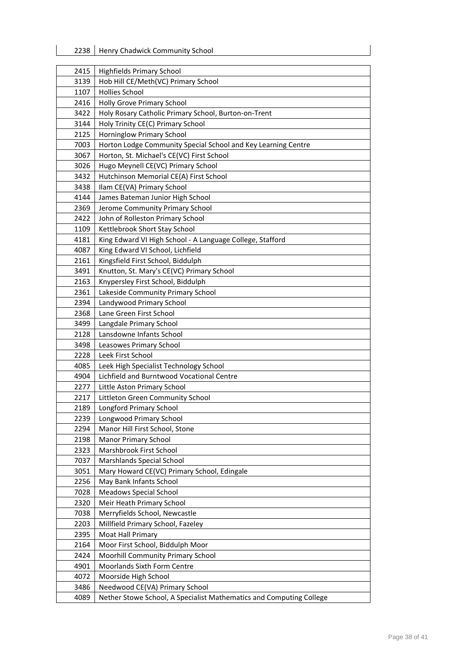| 2415 | <b>Highfields Primary School</b>                                    |
|------|---------------------------------------------------------------------|
| 3139 | Hob Hill CE/Meth(VC) Primary School                                 |
| 1107 | <b>Hollies School</b>                                               |
| 2416 | Holly Grove Primary School                                          |
| 3422 | Holy Rosary Catholic Primary School, Burton-on-Trent                |
| 3144 | Holy Trinity CE(C) Primary School                                   |
| 2125 | Horninglow Primary School                                           |
| 7003 | Horton Lodge Community Special School and Key Learning Centre       |
| 3067 | Horton, St. Michael's CE(VC) First School                           |
| 3026 | Hugo Meynell CE(VC) Primary School                                  |
| 3432 | Hutchinson Memorial CE(A) First School                              |
| 3438 | Ilam CE(VA) Primary School                                          |
| 4144 | James Bateman Junior High School                                    |
| 2369 | Jerome Community Primary School                                     |
| 2422 | John of Rolleston Primary School                                    |
| 1109 | Kettlebrook Short Stay School                                       |
| 4181 | King Edward VI High School - A Language College, Stafford           |
| 4087 | King Edward VI School, Lichfield                                    |
| 2161 | Kingsfield First School, Biddulph                                   |
| 3491 | Knutton, St. Mary's CE(VC) Primary School                           |
| 2163 | Knypersley First School, Biddulph                                   |
| 2361 | Lakeside Community Primary School                                   |
| 2394 | Landywood Primary School                                            |
| 2368 | Lane Green First School                                             |
| 3499 | Langdale Primary School                                             |
| 2128 | Lansdowne Infants School                                            |
| 3498 | Leasowes Primary School                                             |
| 2228 | Leek First School                                                   |
| 4085 | Leek High Specialist Technology School                              |
| 4904 | Lichfield and Burntwood Vocational Centre                           |
| 2277 | Little Aston Primary School                                         |
| 2217 | Littleton Green Community School                                    |
| 2189 | <b>Longford Primary School</b>                                      |
| 2239 | Longwood Primary School                                             |
| 2294 | Manor Hill First School, Stone                                      |
| 2198 | Manor Primary School                                                |
| 2323 | Marshbrook First School                                             |
| 7037 | Marshlands Special School                                           |
| 3051 | Mary Howard CE(VC) Primary School, Edingale                         |
| 2256 | May Bank Infants School                                             |
| 7028 | <b>Meadows Special School</b>                                       |
| 2320 | Meir Heath Primary School                                           |
| 7038 | Merryfields School, Newcastle                                       |
| 2203 | Millfield Primary School, Fazeley                                   |
| 2395 | Moat Hall Primary                                                   |
| 2164 | Moor First School, Biddulph Moor                                    |
| 2424 | <b>Moorhill Community Primary School</b>                            |
| 4901 | <b>Moorlands Sixth Form Centre</b>                                  |
| 4072 | Moorside High School                                                |
| 3486 | Needwood CE(VA) Primary School                                      |
| 4089 | Nether Stowe School, A Specialist Mathematics and Computing College |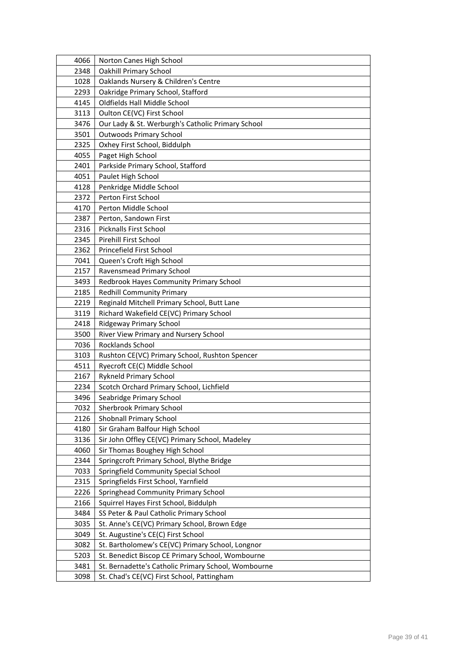| 4066 | Norton Canes High School                            |
|------|-----------------------------------------------------|
| 2348 | <b>Oakhill Primary School</b>                       |
| 1028 | Oaklands Nursery & Children's Centre                |
| 2293 | Oakridge Primary School, Stafford                   |
| 4145 | Oldfields Hall Middle School                        |
| 3113 | Oulton CE(VC) First School                          |
| 3476 | Our Lady & St. Werburgh's Catholic Primary School   |
| 3501 | <b>Outwoods Primary School</b>                      |
| 2325 | Oxhey First School, Biddulph                        |
| 4055 | Paget High School                                   |
| 2401 | Parkside Primary School, Stafford                   |
| 4051 | Paulet High School                                  |
| 4128 | Penkridge Middle School                             |
| 2372 | Perton First School                                 |
| 4170 | Perton Middle School                                |
| 2387 | Perton, Sandown First                               |
| 2316 | Picknalls First School                              |
| 2345 | <b>Pirehill First School</b>                        |
| 2362 | Princefield First School                            |
| 7041 | Queen's Croft High School                           |
| 2157 | Ravensmead Primary School                           |
| 3493 | Redbrook Hayes Community Primary School             |
| 2185 | <b>Redhill Community Primary</b>                    |
| 2219 | Reginald Mitchell Primary School, Butt Lane         |
| 3119 | Richard Wakefield CE(VC) Primary School             |
| 2418 | Ridgeway Primary School                             |
| 3500 | River View Primary and Nursery School               |
| 7036 | Rocklands School                                    |
| 3103 | Rushton CE(VC) Primary School, Rushton Spencer      |
| 4511 | Ryecroft CE(C) Middle School                        |
| 2167 | <b>Rykneld Primary School</b>                       |
| 2234 | Scotch Orchard Primary School, Lichfield            |
| 3496 | Seabridge Primary School                            |
| 7032 | <b>Sherbrook Primary School</b>                     |
| 2126 | Shobnall Primary School                             |
| 4180 | Sir Graham Balfour High School                      |
| 3136 | Sir John Offley CE(VC) Primary School, Madeley      |
| 4060 | Sir Thomas Boughey High School                      |
| 2344 | Springcroft Primary School, Blythe Bridge           |
| 7033 | Springfield Community Special School                |
| 2315 | Springfields First School, Yarnfield                |
| 2226 | Springhead Community Primary School                 |
| 2166 | Squirrel Hayes First School, Biddulph               |
| 3484 | SS Peter & Paul Catholic Primary School             |
| 3035 | St. Anne's CE(VC) Primary School, Brown Edge        |
| 3049 | St. Augustine's CE(C) First School                  |
| 3082 | St. Bartholomew's CE(VC) Primary School, Longnor    |
| 5203 | St. Benedict Biscop CE Primary School, Wombourne    |
| 3481 | St. Bernadette's Catholic Primary School, Wombourne |
| 3098 | St. Chad's CE(VC) First School, Pattingham          |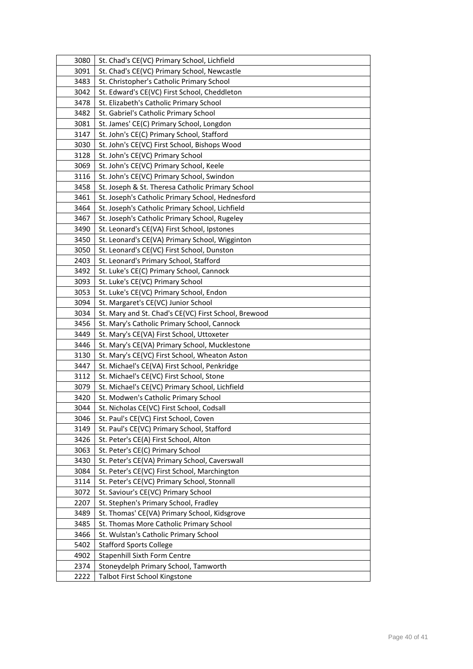| 3080 | St. Chad's CE(VC) Primary School, Lichfield          |
|------|------------------------------------------------------|
| 3091 | St. Chad's CE(VC) Primary School, Newcastle          |
| 3483 | St. Christopher's Catholic Primary School            |
| 3042 | St. Edward's CE(VC) First School, Cheddleton         |
| 3478 | St. Elizabeth's Catholic Primary School              |
| 3482 | St. Gabriel's Catholic Primary School                |
| 3081 | St. James' CE(C) Primary School, Longdon             |
| 3147 | St. John's CE(C) Primary School, Stafford            |
| 3030 | St. John's CE(VC) First School, Bishops Wood         |
| 3128 | St. John's CE(VC) Primary School                     |
| 3069 | St. John's CE(VC) Primary School, Keele              |
| 3116 | St. John's CE(VC) Primary School, Swindon            |
| 3458 | St. Joseph & St. Theresa Catholic Primary School     |
| 3461 | St. Joseph's Catholic Primary School, Hednesford     |
| 3464 | St. Joseph's Catholic Primary School, Lichfield      |
| 3467 | St. Joseph's Catholic Primary School, Rugeley        |
| 3490 | St. Leonard's CE(VA) First School, Ipstones          |
| 3450 | St. Leonard's CE(VA) Primary School, Wigginton       |
| 3050 | St. Leonard's CE(VC) First School, Dunston           |
| 2403 | St. Leonard's Primary School, Stafford               |
| 3492 | St. Luke's CE(C) Primary School, Cannock             |
| 3093 | St. Luke's CE(VC) Primary School                     |
| 3053 | St. Luke's CE(VC) Primary School, Endon              |
| 3094 | St. Margaret's CE(VC) Junior School                  |
| 3034 | St. Mary and St. Chad's CE(VC) First School, Brewood |
| 3456 | St. Mary's Catholic Primary School, Cannock          |
| 3449 | St. Mary's CE(VA) First School, Uttoxeter            |
| 3446 | St. Mary's CE(VA) Primary School, Mucklestone        |
| 3130 | St. Mary's CE(VC) First School, Wheaton Aston        |
| 3447 | St. Michael's CE(VA) First School, Penkridge         |
| 3112 | St. Michael's CE(VC) First School, Stone             |
| 3079 | St. Michael's CE(VC) Primary School, Lichfield       |
| 3420 | St. Modwen's Catholic Primary School                 |
| 3044 | St. Nicholas CE(VC) First School, Codsall            |
| 3046 | St. Paul's CE(VC) First School, Coven                |
| 3149 | St. Paul's CE(VC) Primary School, Stafford           |
| 3426 | St. Peter's CE(A) First School, Alton                |
| 3063 | St. Peter's CE(C) Primary School                     |
| 3430 | St. Peter's CE(VA) Primary School, Caverswall        |
| 3084 | St. Peter's CE(VC) First School, Marchington         |
| 3114 | St. Peter's CE(VC) Primary School, Stonnall          |
| 3072 | St. Saviour's CE(VC) Primary School                  |
| 2207 | St. Stephen's Primary School, Fradley                |
| 3489 | St. Thomas' CE(VA) Primary School, Kidsgrove         |
| 3485 | St. Thomas More Catholic Primary School              |
| 3466 | St. Wulstan's Catholic Primary School                |
| 5402 | <b>Stafford Sports College</b>                       |
| 4902 | <b>Stapenhill Sixth Form Centre</b>                  |
| 2374 | Stoneydelph Primary School, Tamworth                 |
| 2222 | Talbot First School Kingstone                        |